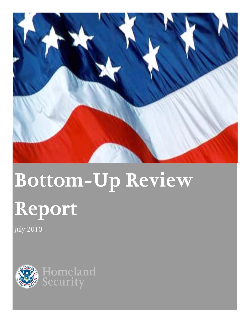

# **Bottom-Up Review**

# **Report**

*July 2010* 

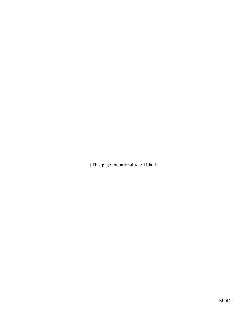[This page intentionally left blank]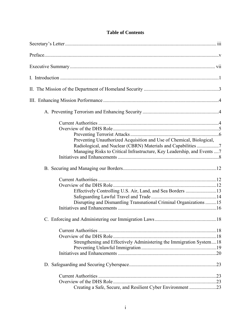| Preventing Unauthorized Acquisition and Use of Chemical, Biological,     |  |
|--------------------------------------------------------------------------|--|
| Managing Risks to Critical Infrastructure, Key Leadership, and Events  7 |  |
|                                                                          |  |
|                                                                          |  |
|                                                                          |  |
|                                                                          |  |
|                                                                          |  |
|                                                                          |  |
| Disrupting and Dismantling Transnational Criminal Organizations 15       |  |
|                                                                          |  |
|                                                                          |  |
|                                                                          |  |
|                                                                          |  |
| Strengthening and Effectively Administering the Immigration System18     |  |
|                                                                          |  |
|                                                                          |  |
|                                                                          |  |
|                                                                          |  |
|                                                                          |  |
| Creating a Safe, Secure, and Resilient Cyber Environment 23              |  |

# **Table of Contents**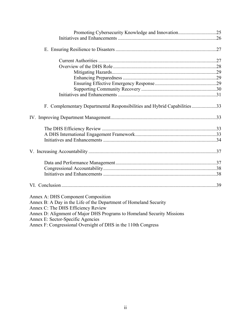| F. Complementary Departmental Responsibilities and Hybrid Capabilities 33 |  |
|---------------------------------------------------------------------------|--|
|                                                                           |  |
|                                                                           |  |
|                                                                           |  |
|                                                                           |  |
|                                                                           |  |
|                                                                           |  |
|                                                                           |  |
|                                                                           |  |
|                                                                           |  |
| Annex A: DHS Component Composition                                        |  |
| Annex B: A Day in the Life of the Department of Homeland Security         |  |
| Annex C: The DHS Efficiency Review                                        |  |
| Annex D: Alignment of Major DHS Programs to Homeland Security Missions    |  |
| Annex E: Sector-Specific Agencies                                         |  |
| Annex F: Congressional Oversight of DHS in the 110th Congress             |  |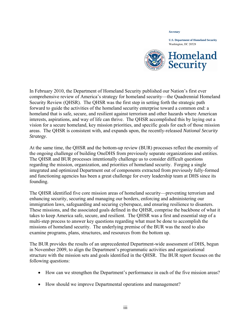#### *Secretary*

**U.S. Department of Homeland Security**  Washington, DC 20528



<span id="page-4-0"></span>In February 2010, the Department of Homeland Security published our Nation's first ever comprehensive review of America's strategy for homeland security—the Quadrennial Homeland Security Review (QHSR). The QHSR was the first step in setting forth the strategic path forward to guide the activities of the homeland security enterprise toward a common end: a homeland that is safe, secure, and resilient against terrorism and other hazards where American interests, aspirations, and way of life can thrive. The QHSR accomplished this by laying out a vision for a secure homeland, key mission priorities, and specific goals for each of those mission areas. The QHSR is consistent with, and expands upon, the recently-released *National Security Strategy*.

At the same time, the QHSR and the bottom-up review (BUR) processes reflect the enormity of the ongoing challenge of building OneDHS from previously separate organizations and entities. The QHSR and BUR processes intentionally challenge us to consider difficult questions regarding the mission, organization, and priorities of homeland security. Forging a single integrated and optimized Department out of components extracted from previously fully-formed and functioning agencies has been a great challenge for every leadership team at DHS since its founding.

The QHSR identified five core mission areas of homeland security—preventing terrorism and enhancing security, securing and managing our borders, enforcing and administering our immigration laws, safeguarding and securing cyberspace, and ensuring resilience to disasters. These missions, and the associated goals defined in the QHSR, comprise the backbone of what it takes to keep America safe, secure, and resilient. The QHSR was a first and essential step of a multi-step process to answer key questions regarding what must be done to accomplish the missions of homeland security. The underlying premise of the BUR was the need to also examine programs, plans, structures, and resources from the bottom up.

The BUR provides the results of an unprecedented Department-wide assessment of DHS, begun in November 2009, to align the Department's programmatic activities and organizational structure with the mission sets and goals identified in the QHSR. The BUR report focuses on the following questions:

- How can we strengthen the Department's performance in each of the five mission areas?
- How should we improve Departmental operations and management?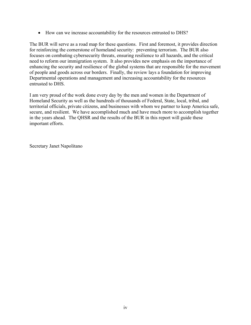• How can we increase accountability for the resources entrusted to DHS?

The BUR will serve as a road map for these questions. First and foremost, it provides direction for reinforcing the cornerstone of homeland security: preventing terrorism. The BUR also focuses on combating cybersecurity threats, ensuring resilience to all hazards, and the critical need to reform our immigration system. It also provides new emphasis on the importance of enhancing the security and resilience of the global systems that are responsible for the movement of people and goods across our borders. Finally, the review lays a foundation for improving Departmental operations and management and increasing accountability for the resources entrusted to DHS.

I am very proud of the work done every day by the men and women in the Department of Homeland Security as well as the hundreds of thousands of Federal, State, local, tribal, and territorial officials, private citizens, and businesses with whom we partner to keep America safe, secure, and resilient. We have accomplished much and have much more to accomplish together in the years ahead. The QHSR and the results of the BUR in this report will guide these important efforts.

Secretary Janet Napolitano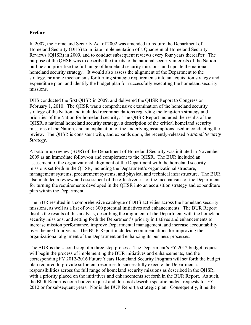# <span id="page-6-0"></span>**Preface**

In 2007, the Homeland Security Act of 2002 was amended to require the Department of Homeland Security (DHS) to initiate implementation of a Quadrennial Homeland Security Reviews (QHSR) in 2009, and to conduct subsequent reviews every four years thereafter. The purpose of the QHSR was to describe the threats to the national security interests of the Nation, outline and prioritize the full range of homeland security missions, and update the national homeland security strategy. It would also assess the alignment of the Department to the strategy, promote mechanisms for turning strategic requirements into an acquisition strategy and expenditure plan, and identify the budget plan for successfully executing the homeland security missions.

DHS conducted the first QHSR in 2009, and delivered the QHSR Report to Congress on February 1, 2010. The QHSR was a comprehensive examination of the homeland security strategy of the Nation and included recommendations regarding the long-term strategy and priorities of the Nation for homeland security. The QHSR Report included the results of the QHSR, a national homeland security strategy, a description of the critical homeland security missions of the Nation, and an explanation of the underlying assumptions used in conducting the review. The QHSR is consistent with, and expands upon, the recently-released *National Security Strategy*.

A bottom-up review (BUR) of the Department of Homeland Security was initiated in November 2009 as an immediate follow-on and complement to the QHSR. The BUR included an assessment of the organizational alignment of the Department with the homeland security missions set forth in the QHSR, including the Department's organizational structure, management systems, procurement systems, and physical and technical infrastructure. The BUR also included a review and assessment of the effectiveness of the mechanisms of the Department for turning the requirements developed in the QHSR into an acquisition strategy and expenditure plan within the Department.

The BUR resulted in a comprehensive catalogue of DHS activities across the homeland security missions, as well as a list of over 300 potential initiatives and enhancements. The BUR Report distills the results of this analysis, describing the alignment of the Department with the homeland security missions, and setting forth the Department's priority initiatives and enhancements to increase mission performance, improve Departmental management, and increase accountability over the next four years. The BUR Report includes recommendations for improving the organizational alignment of the Department and enhancing its business processes.

The BUR is the second step of a three-step process. The Department's FY 2012 budget request will begin the process of implementing the BUR initiatives and enhancements, and the corresponding FY 2012-2016 Future Years Homeland Security Program will set forth the budget plan required to provide sufficient resources to successfully execute the Department's responsibilities across the full range of homeland security missions as described in the QHSR, with a priority placed on the initiatives and enhancements set forth in the BUR Report. As such, the BUR Report is not a budget request and does not describe specific budget requests for FY 2012 or for subsequent years. Nor is the BUR Report a strategic plan. Consequently, it neither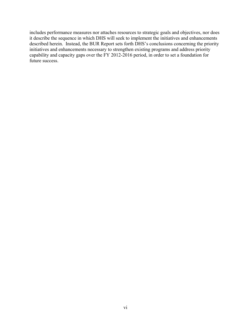includes performance measures nor attaches resources to strategic goals and objectives, nor does it describe the sequence in which DHS will seek to implement the initiatives and enhancements described herein. Instead, the BUR Report sets forth DHS's conclusions concerning the priority initiatives and enhancements necessary to strengthen existing programs and address priority capability and capacity gaps over the FY 2012-2016 period, in order to set a foundation for future success.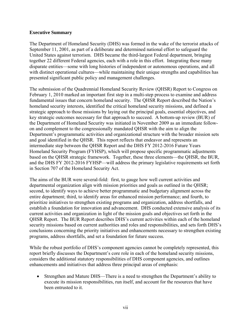## <span id="page-8-0"></span>**Executive Summary**

The Department of Homeland Security (DHS) was formed in the wake of the terrorist attacks of September 11, 2001, as part of a deliberate and determined national effort to safeguard the United States against terrorism. DHS became the third-largest Federal department, bringing together 22 different Federal agencies, each with a role in this effort. Integrating these many disparate entities—some with long histories of independent or autonomous operations, and all with distinct operational cultures—while maintaining their unique strengths and capabilities has presented significant public policy and management challenges.

The submission of the Quadrennial Homeland Security Review (QHSR) Report to Congress on February 1, 2010 marked an important first step in a multi-step process to examine and address fundamental issues that concern homeland security. The QHSR Report described the Nation's homeland security interests, identified the critical homeland security missions, and defined a strategic approach to those missions by laying out the principal goals, essential objectives, and key strategic outcomes necessary for that approach to succeed. A bottom-up review (BUR) of the Department of Homeland Security was initiated in November 2009 as an immediate followon and complement to the congressionally mandated QHSR with the aim to align the Department's programmatic activities and organizational structure with the broader mission sets and goal identified in the QHSR. This report reflects that endeavor and represents an intermediate step between the QHSR Report and the DHS FY 2012-2016 Future Years Homeland Security Program (FYHSP), which will propose specific programmatic adjustments based on the QHSR strategic framework. Together, these three elements—the QHSR, the BUR, and the DHS FY 2012-2016 FYHSP—will address the primary legislative requirements set forth in Section 707 of the Homeland Security Act.

The aims of the BUR were several-fold: first, to gauge how well current activities and departmental organization align with mission priorities and goals as outlined in the QHSR; second, to identify ways to achieve better programmatic and budgetary alignment across the entire department; third, to identify areas for enhanced mission performance; and fourth, to prioritize initiatives to strengthen existing programs and organization, address shortfalls, and establish a foundation for innovation and advancement. DHS conducted extensive analysis of its current activities and organization in light of the mission goals and objectives set forth in the QHSR Report. The BUR Report describes DHS's current activities within each of the homeland security missions based on current authorities and roles and responsibilities, and sets forth DHS's conclusions concerning the priority initiatives and enhancements necessary to strengthen existing programs, address shortfalls, and set a foundation for future success.

While the robust portfolio of DHS's component agencies cannot be completely represented, this report briefly discusses the Department's core role in each of the homeland security missions, considers the additional statutory responsibilities of DHS component agencies, and outlines enhancements and initiatives that address three principal areas of emphasis:

• Strengthen and Mature DHS—There is a need to strengthen the Department's ability to execute its mission responsibilities, run itself, and account for the resources that have been entrusted to it.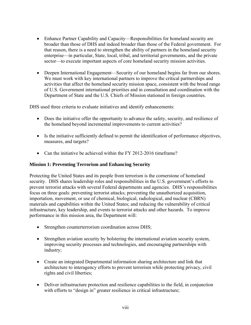- Enhance Partner Capability and Capacity—Responsibilities for homeland security are broader than those of DHS and indeed broader than those of the Federal government. For that reason, there is a need to strengthen the ability of partners in the homeland security enterprise—in particular, State, local, tribal, and territorial governments, and the private sector—to execute important aspects of core homeland security mission activities.
- Deepen International Engagement—Security of our homeland begins far from our shores. We must work with key international partners to improve the critical partnerships and activities that affect the homeland security mission space, consistent with the broad range of U.S. Government international priorities and in consultation and coordination with the Department of State and the U.S. Chiefs of Mission stationed in foreign countries.

DHS used three criteria to evaluate initiatives and identify enhancements:

- Does the initiative offer the opportunity to advance the safety, security, and resilience of the homeland beyond incremental improvements to current activities?
- Is the initiative sufficiently defined to permit the identification of performance objectives, measures, and targets?
- Can the initiative be achieved within the FY 2012-2016 time frame?

# **Mission 1: Preventing Terrorism and Enhancing Security**

Protecting the United States and its people from terrorism is the cornerstone of homeland security. DHS shares leadership roles and responsibilities in the U.S. government's efforts to prevent terrorist attacks with several Federal departments and agencies. DHS's responsibilities focus on three goals: preventing terrorist attacks; preventing the unauthorized acquisition, importation, movement, or use of chemical, biological, radiological, and nuclear (CBRN) materials and capabilities within the United States; and reducing the vulnerability of critical infrastructure, key leadership, and events to terrorist attacks and other hazards. To improve performance in this mission area, the Department will:

- Strengthen counterterrorism coordination across DHS;
- Strengthen aviation security by bolstering the international aviation security system, improving security processes and technologies, and encouraging partnerships with industry;
- Create an integrated Departmental information sharing architecture and link that architecture to interagency efforts to prevent terrorism while protecting privacy, civil rights and civil liberties;
- Deliver infrastructure protection and resilience capabilities to the field, in conjunction with efforts to "design in" greater resilience in critical infrastructure;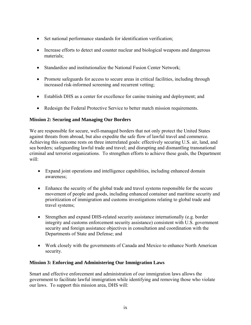- Set national performance standards for identification verification;
- materials; • Increase efforts to detect and counter nuclear and biological weapons and dangerous
- Standardize and institutionalize the National Fusion Center Network;
- Promote safeguards for access to secure areas in critical facilities, including through increased risk-informed screening and recurrent vetting;
- Establish DHS as a center for excellence for canine training and deployment; and
- Redesign the Federal Protective Service to better match mission requirements.

# **Mission 2: Securing and Managing Our Borders**

We are responsible for secure, well-managed borders that not only protect the United States against threats from abroad, but also expedite the safe flow of lawful travel and commerce. Achieving this outcome rests on three interrelated goals: effectively securing U.S. air, land, and sea borders; safeguarding lawful trade and travel; and disrupting and dismantling transnational criminal and terrorist organizations. To strengthen efforts to achieve these goals, the Department will:

- Expand joint operations and intelligence capabilities, including enhanced domain awareness;
- Enhance the security of the global trade and travel systems responsible for the secure movement of people and goods, including enhanced container and maritime security and prioritization of immigration and customs investigations relating to global trade and travel systems;
- Strengthen and expand DHS-related security assistance internationally (e.g. border integrity and customs enforcement security assistance) consistent with U.S. government security and foreign assistance objectives in consultation and coordination with the Departments of State and Defense; and
- Work closely with the governments of Canada and Mexico to enhance North American security.

# **Mission 3: Enforcing and Administering Our Immigration Laws**

Smart and effective enforcement and administration of our immigration laws allows the government to facilitate lawful immigration while identifying and removing those who violate our laws. To support this mission area, DHS will: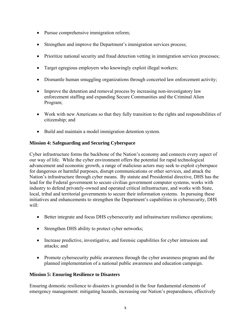- Pursue comprehensive immigration reform;
- Strengthen and improve the Department's immigration services process;
- Prioritize national security and fraud detection vetting in immigration services processes;
- Target egregious employers who knowingly exploit illegal workers;
- Dismantle human smuggling organizations through concerted law enforcement activity;
- Improve the detention and removal process by increasing non-investigatory law enforcement staffing and expanding Secure Communities and the Criminal Alien Program;
- Work with new Americans so that they fully transition to the rights and responsibilities of citizenship; and
- Build and maintain a model immigration detention system.

# **Mission 4: Safeguarding and Securing Cyberspace**

Cyber infrastructure forms the backbone of the Nation's economy and connects every aspect of our way of life. While the cyber environment offers the potential for rapid technological advancement and economic growth, a range of malicious actors may seek to exploit cyberspace for dangerous or harmful purposes, disrupt communications or other services, and attack the Nation's infrastructure through cyber means. By statute and Presidential directive, DHS has the lead for the Federal government to secure civilian government computer systems, works with industry to defend privately-owned and operated critical infrastructure, and works with State, local, tribal and territorial governments to secure their information systems. In pursuing these initiatives and enhancements to strengthen the Department's capabilities in cybersecurity, DHS will:

- Better integrate and focus DHS cybersecurity and infrastructure resilience operations;
- Strengthen DHS ability to protect cyber networks;
- Increase predictive, investigative, and forensic capabilities for cyber intrusions and attacks; and
- Promote cybersecurity public awareness through the cyber awareness program and the planned implementation of a national public awareness and education campaign.

# **Mission 5: Ensuring Resilience to Disasters**

Ensuring domestic resilience to disasters is grounded in the four fundamental elements of emergency management: mitigating hazards, increasing our Nation's preparedness, effectively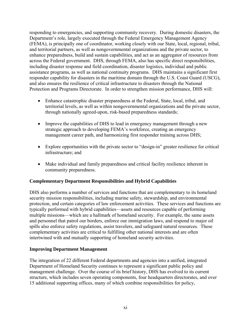responding to emergencies, and supporting community recovery. During domestic disasters, the Department's role, largely executed through the Federal Emergency Management Agency (FEMA), is principally one of coordinator, working closely with our State, local, regional, tribal, and territorial partners, as well as nongovernmental organizations and the private sector, to enhance preparedness, build and sustain capabilities, and act as an aggregator of resources from across the Federal government. DHS, through FEMA, also has specific direct responsibilities, including disaster response and field coordination, disaster logistics, individual and public assistance programs, as well as national continuity programs. DHS maintains a significant first responder capability for disasters in the maritime domain through the U.S. Coast Guard (USCG), and also ensures the resilience of critical infrastructure to disasters through the National Protection and Programs Directorate. In order to strengthen mission performance, DHS will:

- Enhance catastrophic disaster preparedness at the Federal, State, local, tribal, and territorial levels, as well as within nongovernmental organizations and the private sector, through nationally agreed-upon, risk-based preparedness standards;
- Improve the capabilities of DHS to lead in emergency management through a new strategic approach to developing FEMA's workforce, creating an emergency management career path, and harmonizing first responder training across DHS;
- Explore opportunities with the private sector to "design-in" greater resilience for critical infrastructure; and
- Make individual and family preparedness and critical facility resilience inherent in community preparedness.

# **Complementary Department Responsibilities and Hybrid Capabilities**

DHS also performs a number of services and functions that are complementary to its homeland security mission responsibilities, including marine safety, stewardship, and environmental protection, and certain categories of law enforcement activities. These services and functions are typically performed with hybrid capabilities—assets and resources capable of performing multiple missions—which are a hallmark of homeland security. For example, the same assets and personnel that patrol our borders, enforce our immigration laws, and respond to major oil spills also enforce safety regulations, assist travelers, and safeguard natural resources. These complementary activities are critical to fulfilling other national interests and are often intertwined with and mutually supporting of homeland security activities.

# **Improving Department Management**

The integration of 22 different Federal departments and agencies into a unified, integrated Department of Homeland Security continues to represent a significant public policy and management challenge. Over the course of its brief history, DHS has evolved to its current structure, which includes seven operating components, four headquarters directorates, and over 15 additional supporting offices, many of which combine responsibilities for policy,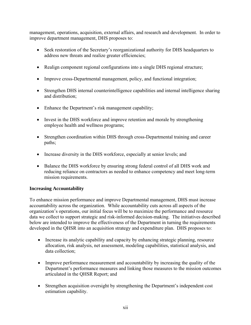management, operations, acquisition, external affairs, and research and development. In order to improve department management, DHS proposes to:

- Seek restoration of the Secretary's reorganizational authority for DHS headquarters to address new threats and realize greater efficiencies;
- Realign component regional configurations into a single DHS regional structure;
- Improve cross-Departmental management, policy, and functional integration;
- Strengthen DHS internal counterintelligence capabilities and internal intelligence sharing and distribution;
- Enhance the Department's risk management capability;
- Invest in the DHS workforce and improve retention and morale by strengthening employee health and wellness programs;
- Strengthen coordination within DHS through cross-Departmental training and career paths;
- Increase diversity in the DHS workforce, especially at senior levels; and
- Balance the DHS workforce by ensuring strong federal control of all DHS work and reducing reliance on contractors as needed to enhance competency and meet long-term mission requirements.

# **Increasing Accountability**

To enhance mission performance and improve Departmental management, DHS must increase accountability across the organization. While accountability cuts across all aspects of the organization's operations, our initial focus will be to maximize the performance and resource data we collect to support strategic and risk-informed decision-making. The initiatives described below are intended to improve the effectiveness of the Department in turning the requirements developed in the QHSR into an acquisition strategy and expenditure plan. DHS proposes to:

- Increase its analytic capability and capacity by enhancing strategic planning, resource allocation, risk analysis, net assessment, modeling capabilities, statistical analysis, and data collection;
- Improve performance measurement and accountability by increasing the quality of the Department's performance measures and linking those measures to the mission outcomes articulated in the QHSR Report; and
- Strengthen acquisition oversight by strengthening the Department's independent cost estimation capability.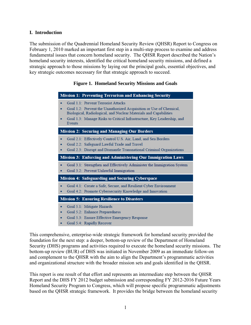## <span id="page-14-0"></span>**I. Introduction**

The submission of the Quadrennial Homeland Security Review (QHSR) Report to Congress on February 1, 2010 marked an important first step in a multi-step process to examine and address fundamental issues that concern homeland security. The QHSR Report described the Nation's homeland security interests, identified the critical homeland security missions, and defined a strategic approach to those missions by laying out the principal goals, essential objectives, and key strategic outcomes necessary for that strategic approach to succeed.

## **Figure 1. Homeland Security Missions and Goals**

| <b>Mission 1: Preventing Terrorism and Enhancing Security</b>                                                                                                                                                                                                     |  |  |
|-------------------------------------------------------------------------------------------------------------------------------------------------------------------------------------------------------------------------------------------------------------------|--|--|
| Goal 1.1: Prevent Terrorist Attacks<br>Goal 1.2: Prevent the Unauthorized Acquisition or Use of Chemical,<br>Biological, Radiological, and Nuclear Materials and Capabilities<br>Goal 1.3: Manage Risks to Critical Infrastructure, Key Leadership, and<br>Events |  |  |
| <b>Mission 2: Securing and Managing Our Borders</b>                                                                                                                                                                                                               |  |  |
| Goal 2.1: Effectively Control U.S. Air, Land, and Sea Borders<br>Goal 2.2: Safeguard Lawful Trade and Travel<br>Goal 2.3: Disrupt and Dismantle Transnational Criminal Organizations                                                                              |  |  |
| <b>Mission 3: Enforcing and Administering Our Immigration Laws</b>                                                                                                                                                                                                |  |  |
| Goal 3.1: Strengthen and Effectively Administer the Immigration System<br>Goal 3.2: Prevent Unlawful Immigration                                                                                                                                                  |  |  |
| <b>Mission 4: Safeguarding and Securing Cyberspace</b>                                                                                                                                                                                                            |  |  |
| Goal 4.1: Create a Safe, Secure, and Resilient Cyber Environment<br>Goal 4.2: Promote Cybersecurity Knowledge and Innovation                                                                                                                                      |  |  |
| <b>Mission 5: Ensuring Resilience to Disasters</b>                                                                                                                                                                                                                |  |  |
| Goal 5.1: Mitigate Hazards<br>Goal 5.2: Enhance Preparedness<br>Goal 5.3: Ensure Effective Emergency Response<br>$Goal 5.4$ Rapidly Recover                                                                                                                       |  |  |

This comprehensive, enterprise-wide strategic framework for homeland security provided the foundation for the next step: a deeper, bottom-up review of the Department of Homeland Security (DHS) programs and activities required to execute the homeland security missions. The bottom-up review (BUR) of DHS was initiated in November 2009 as an immediate follow-on and complement to the QHSR with the aim to align the Department's programmatic activities and organizational structure with the broader mission sets and goals identified in the QHSR.

This report is one result of that effort and represents an intermediate step between the QHSR Report and the DHS FY 2012 budget submission and corresponding FY 2012-2016 Future Years Homeland Security Program to Congress, which will propose specific programmatic adjustments based on the QHSR strategic framework. It provides the bridge between the homeland security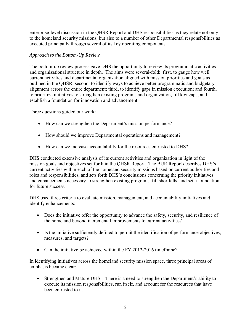enterprise-level discussion in the QHSR Report and DHS responsibilities as they relate not only to the homeland security missions, but also to a number of other Departmental responsibilities as executed principally through several of its key operating components.

# *Approach to the Bottom-Up Review*

The bottom-up review process gave DHS the opportunity to review its programmatic activities and organizational structure in depth. The aims were several-fold: first, to gauge how well current activities and departmental organization aligned with mission priorities and goals as outlined in the QHSR; second, to identify ways to achieve better programmatic and budgetary alignment across the entire department; third, to identify gaps in mission execution; and fourth, to prioritize initiatives to strengthen existing programs and organization, fill key gaps, and establish a foundation for innovation and advancement.

Three questions guided our work:

- How can we strengthen the Department's mission performance?
- How should we improve Departmental operations and management?
- How can we increase accountability for the resources entrusted to DHS?

DHS conducted extensive analysis of its current activities and organization in light of the mission goals and objectives set forth in the QHSR Report. The BUR Report describes DHS's current activities within each of the homeland security missions based on current authorities and roles and responsibilities, and sets forth DHS's conclusions concerning the priority initiatives and enhancements necessary to strengthen existing programs, fill shortfalls, and set a foundation for future success.

DHS used three criteria to evaluate mission, management, and accountability initiatives and identify enhancements:

- Does the initiative offer the opportunity to advance the safety, security, and resilience of the homeland beyond incremental improvements to current activities?
- Is the initiative sufficiently defined to permit the identification of performance objectives, measures, and targets?
- Can the initiative be achieved within the FY 2012-2016 timeframe?

In identifying initiatives across the homeland security mission space, three principal areas of emphasis became clear:

• Strengthen and Mature DHS—There is a need to strengthen the Department's ability to execute its mission responsibilities, run itself, and account for the resources that have been entrusted to it.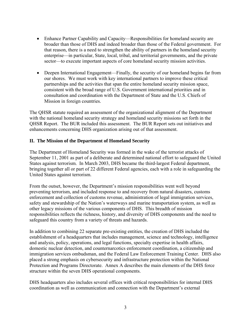- <span id="page-16-0"></span> Enhance Partner Capability and Capacity—Responsibilities for homeland security are broader than those of DHS and indeed broader than those of the Federal government. For that reason, there is a need to strengthen the ability of partners in the homeland security enterprise—in particular, State, local, tribal, and territorial governments, and the private sector—to execute important aspects of core homeland security mission activities.
- Deepen International Engagement—Finally, the security of our homeland begins far from our shores. We must work with key international partners to improve these critical partnerships and the activities that span the entire homeland security mission space, consistent with the broad range of U.S. Government international priorities and in consultation and coordination with the Department of State and the U.S. Chiefs of Mission in foreign countries.

The QHSR statute required an assessment of the organizational alignment of the Department with the national homeland security strategy and homeland security missions set forth in the QHSR Report. The BUR included this assessment. The BUR Report sets out initiatives and enhancements concerning DHS organization arising out of that assessment.

# **II. The Mission of the Department of Homeland Security**

The Department of Homeland Security was formed in the wake of the terrorist attacks of September 11, 2001 as part of a deliberate and determined national effort to safeguard the United States against terrorism. In March 2003, DHS became the third-largest Federal department, bringing together all or part of 22 different Federal agencies, each with a role in safeguarding the United States against terrorism.

From the outset, however, the Department's mission responsibilities went well beyond preventing terrorism, and included response to and recovery from natural disasters, customs enforcement and collection of customs revenue, administration of legal immigration services, safety and stewardship of the Nation's waterways and marine transportation system, as well as other legacy missions of the various components of DHS. This breadth of mission responsibilities reflects the richness, history, and diversity of DHS components and the need to safeguard this country from a variety of threats and hazards.

In addition to combining 22 separate pre-existing entities, the creation of DHS included the establishment of a headquarters that includes management, science and technology, intelligence and analysis, policy, operations, and legal functions, specialty expertise in health affairs, domestic nuclear detection, and counternarcotics enforcement coordination, a citizenship and immigration services ombudsman, and the Federal Law Enforcement Training Center. DHS also placed a strong emphasis on cybersecurity and infrastructure protection within the National Protection and Programs Directorate. Annex A describes the main elements of the DHS force structure within the seven DHS operational components.

DHS headquarters also includes several offices with critical responsibilities for internal DHS coordination as well as communication and connection with the Department's external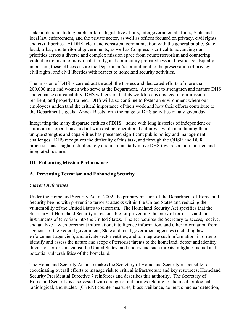<span id="page-17-0"></span>stakeholders, including public affairs, legislative affairs, intergovernmental affairs, State and local law enforcement, and the private sector, as well as offices focused on privacy, civil rights, and civil liberties. At DHS, clear and consistent communication with the general public, State, local, tribal, and territorial governments, as well as Congress is critical to advancing our priorities across a diverse and complex mission space from counterterrorism and countering violent extremism to individual, family, and community preparedness and resilience. Equally important, these offices ensure the Department's commitment to the preservation of privacy, civil rights, and civil liberties with respect to homeland security activities.

The mission of DHS is carried out through the tireless and dedicated efforts of more than 200,000 men and women who serve at the Department. As we act to strengthen and mature DHS and enhance our capability, DHS will ensure that its workforce is engaged in our mission, resilient, and properly trained. DHS will also continue to foster an environment where our employees understand the critical importance of their work and how their efforts contribute to the Department's goals. Annex B sets forth the range of DHS activities on any given day.

Integrating the many disparate entities of DHS—some with long histories of independent or autonomous operations, and all with distinct operational cultures—while maintaining their unique strengths and capabilities has presented significant public policy and management challenges. DHS recognizes the difficulty of this task, and through the QHSR and BUR processes has sought to deliberately and incrementally move DHS towards a more unified and integrated posture.

# **III. Enhancing Mission Performance**

# **A. Preventing Terrorism and Enhancing Security**

# *Current Authorities*

Under the Homeland Security Act of 2002, the primary mission of the Department of Homeland Security begins with preventing terrorist attacks within the United States and reducing the vulnerability of the United States to terrorism. The Homeland Security Act specifies that the Secretary of Homeland Security is responsible for preventing the entry of terrorists and the instruments of terrorism into the United States. The act requires the Secretary to access, receive, and analyze law enforcement information, intelligence information, and other information from agencies of the Federal government, State and local government agencies (including law enforcement agencies), and private sector entities, and to integrate such information, in order to identify and assess the nature and scope of terrorist threats to the homeland; detect and identify threats of terrorism against the United States; and understand such threats in light of actual and potential vulnerabilities of the homeland.

The Homeland Security Act also makes the Secretary of Homeland Security responsible for coordinating overall efforts to manage risk to critical infrastructure and key resources; Homeland Security Presidential Directive 7 reinforces and describes this authority. The Secretary of Homeland Security is also vested with a range of authorities relating to chemical, biological, radiological, and nuclear (CBRN) countermeasures, biosurveillance, domestic nuclear detection,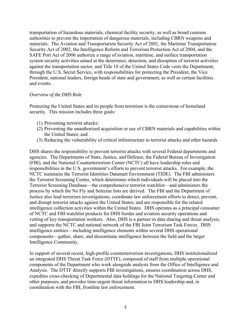<span id="page-18-0"></span>transportation of hazardous materials, chemical facility security, as well as broad customs authorities to prevent the importation of dangerous materials, including CBRN weapons and materials. The Aviation and Transportation Security Act of 2001, the Maritime Transportation Security Act of 2002, the Intelligence Reform and Terrorism Protection Act of 2004, and the SAFE Port Act of 2006 authorize a range of aviation, maritime, and surface transportation system security activities aimed at the deterrence, detection, and disruption of terrorist activities against the transportation sector, and Title 18 of the United States Code vests the Department, through the U.S. Secret Service, with responsibilities for protecting the President, the Vice President, national leaders, foreign heads of state and government, as well as certain facilities and events.

## *Overview of the DHS Role*

Protecting the United States and its people from terrorism is the cornerstone of homeland security. This mission includes three goals:

- (1) Preventing terrorist attacks;
- (2) Preventing the unauthorized acquisition or use of CBRN materials and capabilities within the United States; and
- (3) Reducing the vulnerability of critical infrastructure to terrorist attacks and other hazards.

DHS shares the responsibility to prevent terrorist attacks with several Federal departments and agencies. The Departments of State, Justice, and Defense, the Federal Bureau of Investigation (FBI), and the National Counterterrorism Center (NCTC) all have leadership roles and responsibilities in the U.S. government's efforts to prevent terrorist attacks. For example, the NCTC maintains the Terrorist Identities Datamart Environment (TIDE). The FBI administers the Terrorist Screening Center, which determines which individuals will be placed into the Terrorist Screening Database—the comprehensive terrorist watchlist—and administers the process by which the No Fly and Selectee lists are derived. The FBI and the Department of Justice also lead terrorism investigations; coordinate law enforcement efforts to detect, prevent, and disrupt terrorist attacks against the United States; and are responsible for the related intelligence collection activities within the United States. DHS operates as a principal consumer of NCTC and FBI watchlist products for DHS border and aviation security operations and vetting of key transportation workers. Also, DHS is a partner in data sharing and threat analysis, and supports the NCTC and national network of the FBI Joint Terrorism Task Forces. DHS intelligence entities—including intelligence elements within several DHS operational components—gather, share, and disseminate intelligence between the field and the larger Intelligence Community.

In support of several recent, high-profile counterterrorism investigations, DHS institutionalized an integrated DHS Threat Task Force (DTTF), composed of staff from multiple operational components of the Department who work alongside analysts from the Office of Intelligence and Analysis. The DTTF directly supports FBI investigations, ensures coordination across DHS, expedites cross-checking of Departmental data holdings for the National Targeting Center and other purposes, and provides time-urgent threat information to DHS leadership and, in coordination with the FBI, frontline law enforcement.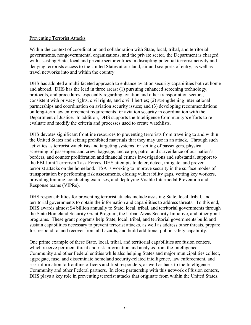## <span id="page-19-0"></span>Preventing Terrorist Attacks

Within the context of coordination and collaboration with State, local, tribal, and territorial governments, nongovernmental organizations, and the private sector, the Department is charged with assisting State, local and private sector entities in disrupting potential terrorist activity and denying terrorists access to the United States at our land, air and sea ports of entry, as well as travel networks into and within the country.

DHS has adopted a multi-faceted approach to enhance aviation security capabilities both at home and abroad. DHS has the lead in three areas: (1) pursuing enhanced screening technology, protocols, and procedures, especially regarding aviation and other transportation sectors, consistent with privacy rights, civil rights, and civil liberties; (2) strengthening international partnerships and coordination on aviation security issues; and (3) developing recommendations on long-term law enforcement requirements for aviation security in coordination with the Department of Justice. In addition, DHS supports the Intelligence Community's efforts to reevaluate and modify the criteria and processes used to create watchlists.

DHS devotes significant frontline resources to preventing terrorists from traveling to and within the United States and seizing prohibited materials that they may use in an attack. Through such activities as terrorist watchlists and targeting systems for vetting of passengers, physical screening of passengers and crew, baggage, and cargo, patrol and surveillance of our nation's borders, and counter proliferation and financial crimes investigations and substantial support to the FBI Joint Terrorism Task Forces, DHS attempts to deter, detect, mitigate, and prevent terrorist attacks on the homeland. TSA is working to improve security in the surface modes of transportation by performing risk assessments, closing vulnerability gaps, vetting key workers, providing training, conducting exercises, and deploying Visible Intermodal Prevention and Response teams (VIPRs).

DHS responsibilities for preventing terrorist attacks include assisting State, local, tribal, and territorial governments to obtain the information and capabilities to address threats. To this end, DHS awards almost \$4 billion annually to State, local, tribal, and territorial governments through the State Homeland Security Grant Program, the Urban Areas Security Initiative, and other grant programs. These grant programs help State, local, tribal, and territorial governments build and sustain capabilities necessary to prevent terrorist attacks, as well as address other threats, prepare for, respond to, and recover from all hazards, and build additional public safety capability.

One prime example of these State, local, tribal, and territorial capabilities are fusion centers, which receive pertinent threat and risk information and analysis from the Intelligence Community and other Federal entities while also helping States and major municipalities collect, aggregate, fuse, and disseminate homeland security-related intelligence, law enforcement, and risk information to frontline officers and first responders, as well as back to the Intelligence Community and other Federal partners. In close partnership with this network of fusion centers, DHS plays a key role in preventing terrorist attacks that originate from within the United States.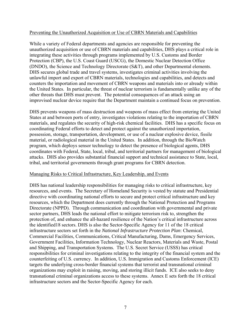## <span id="page-20-0"></span>Preventing the Unauthorized Acquisition or Use of CBRN Materials and Capabilities

While a variety of Federal departments and agencies are responsible for preventing the unauthorized acquisition or use of CBRN materials and capabilities, DHS plays a critical role in integrating these activities through programs implemented by U.S. Customs and Border Protection (CBP), the U.S. Coast Guard (USCG), the Domestic Nuclear Detection Office (DNDO), the Science and Technology Directorate (S&T), and other Departmental elements. DHS secures global trade and travel systems, investigates criminal activities involving the unlawful import and export of CBRN materials, technologies and capabilities, and detects and counters the importation and movement of CBRN weapons and materials into or already within the United States. In particular, the threat of nuclear terrorism is fundamentally unlike any of the other threats that DHS must prevent. The potential consequences of an attack using an improvised nuclear device require that the Department maintain a continued focus on prevention.

DHS prevents weapons of mass destruction and weapons of mass effect from entering the United States at and between ports of entry, investigates violations relating to the importation of CBRN materials, and regulates the security of high-risk chemical facilities. DHS has a specific focus on coordinating Federal efforts to detect and protect against the unauthorized importation, possession, storage, transportation, development, or use of a nuclear explosive device, fissile material, or radiological material in the United States. In addition, through the BioWatch program, which deploys sensor technology to detect the presence of biological agents, DHS coordinates with Federal, State, local, tribal, and territorial partners for management of biological attacks. DHS also provides substantial financial support and technical assistance to State, local, tribal, and territorial governments through grant programs for CBRN detection.

## Managing Risks to Critical Infrastructure, Key Leadership, and Events

 transnational criminal organizations access to these systems. Annex E sets forth the 18 critical DHS has national leadership responsibilities for managing risks to critical infrastructure, key resources, and events. The Secretary of Homeland Security is vested by statute and Presidential directive with coordinating national efforts to secure and protect critical infrastructure and key resources, which the Department does currently through the National Protection and Programs Directorate (NPPD). Through communication and coordination with governmental and private sector partners, DHS leads the national effort to mitigate terrorism risk to, strengthen the protection of, and enhance the all-hazard resilience of the Nation's critical infrastructure across the identified18 sectors. DHS is also the Sector-Specific Agency for 11 of the 18 critical infrastructure sectors set forth in the *National Infrastructure Protection Plan*: Chemical, Commercial Facilities, Communications, Critical Manufacturing, Dams, Emergency Services, Government Facilities, Information Technology, Nuclear Reactors, Materials and Waste, Postal and Shipping, and Transportation Systems. The U.S. Secret Service (USSS) has critical responsibilities for criminal investigations relating to the integrity of the financial system and the counterfeiting of U.S. currency. In addition, U.S. Immigration and Customs Enforcement (ICE) targets the underlying cross-border financial systems that terrorist and transnational criminal organizations may exploit in raising, moving, and storing illicit funds. ICE also seeks to deny infrastructure sectors and the Sector-Specific Agency for each.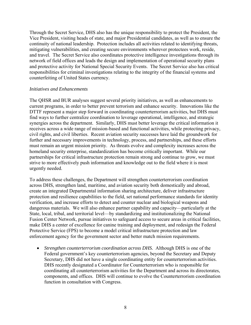<span id="page-21-0"></span>Through the Secret Service, DHS also has the unique responsibility to protect the President, the Vice President, visiting heads of state, and major Presidential candidates, as well as to ensure the continuity of national leadership. Protection includes all activities related to identifying threats, mitigating vulnerabilities, and creating secure environments wherever protectees work, reside, and travel. The Secret Service also coordinates protective intelligence investigations through its network of field offices and leads the design and implementation of operational security plans and protective activity for National Special Security Events. The Secret Service also has critical responsibilities for criminal investigations relating to the integrity of the financial systems and counterfeiting of United States currency.

## *Initiatives and Enhancements*

The QHSR and BUR analyses suggest several priority initiatives, as well as enhancements to current programs, in order to better prevent terrorism and enhance security. Innovations like the DTTF represent a major step forward in coordinating counterterrorism activities, but DHS must find ways to further centralize coordination to leverage operational, intelligence, and strategic synergies across the department. Similarly, DHS must better leverage the critical information it receives across a wide range of mission-based and functional activities, while protecting privacy, civil rights, and civil liberties. Recent aviation security successes have laid the groundwork for further and necessary improvements in technology, process, and partnerships, and these efforts must remain an urgent mission priority. As threats evolve and complexity increases across the homeland security enterprise, standardization has become critically important. While our partnerships for critical infrastructure protection remain strong and continue to grow, we must strive to more effectively push information and knowledge out to the field where it is most urgently needed.

To address these challenges, the Department will strengthen counterterrorism coordination across DHS, strengthen land, maritime, and aviation security both domestically and abroad, create an integrated Departmental information sharing architecture, deliver infrastructure protection and resilience capabilities to the field, set national performance standards for identity verification, and increase efforts to detect and counter nuclear and biological weapons and dangerous materials. We will also enhance partner capability and capacity—particularly at the State, local, tribal, and territorial level—by standardizing and institutionalizing the National Fusion Center Network, pursue initiatives to safeguard access to secure areas in critical facilities, make DHS a center of excellence for canine training and deployment, and redesign the Federal Protective Service (FPS) to become a model critical infrastructure protection and law enforcement agency for the government sector and better match mission requirements.

Secretary, DHS did not have a single coordinating entity for counterterrorism activities. *Strengthen counterterrorism coordination across DHS.* Although DHS is one of the Federal government's key counterterrorism agencies, beyond the Secretary and Deputy DHS recently designated a Coordinator for Counterterrorism who is responsible for coordinating all counterterrorism activities for the Department and across its directorates, components, and offices. DHS will continue to evolve the Counterterrorism coordination function in consultation with Congress.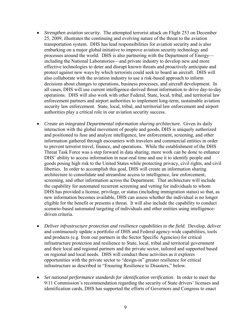- *Strengthen aviation security.* The attempted terrorist attack on Flight 253 on December 25, 2009, illustrates the continuing and evolving nature of the threat to the aviation transportation system. DHS has lead responsibilities for aviation security and is also embarking on a major global initiative to improve aviation security technology and processes around the world. DHS is also partnering with the Department of Energy including the National Laboratories—and private industry to develop new and more effective technologies to deter and disrupt known threats and proactively anticipate and protect against new ways by which terrorists could seek to board an aircraft. DHS will also collaborate with the aviation industry to use a risk-based approach to inform decisions about changes to operations, business processes, and aircraft development. In all cases, DHS will use current intelligence-derived threat information to drive day-to-day operations. DHS will also work with other Federal, State, local, tribal, and territorial law enforcement partners and airport authorities to implement long-term, sustainable aviation security law enforcement. State, local, tribal, and territorial law enforcement and airport authorities play a critical role in our aviation security success.
- *Create an integrated Departmental information sharing architecture.* Given its daily interaction with the global movement of people and goods, DHS is uniquely authorized and positioned to fuse and analyze intelligence, law enforcement, screening, and other information gathered through encounters with travelers and commercial entities in order to prevent terrorist travel, finance, and operations. While the establishment of the DHS Threat Task Force was a step forward in data sharing, more work can be done to enhance DHS' ability to access information in near-real time and use it to identify people and goods posing high risk to the United States while protecting privacy, civil rights, and civil liberties. In order to accomplish this goal, DHS will create an information sharing architecture to consolidate and streamline access to intelligence, law enforcement, screening, and other information across the Department. That architecture will include the capability for automated recurrent screening and vetting for individuals to whom DHS has provided a license, privilege, or status (including immigration status) so that, as new information becomes available, DHS can assess whether the individual is no longer eligible for the benefit or presents a threat. It will also include the capability to conduct scenario-based automated targeting of individuals and other entities using intelligencedriven criteria.
- Deliver infrastructure protection and resilience capabilities to the field. Develop, deliver and continuously update a portfolio of DHS and Federal agency-wide capabilities, tools and products (e.g. from our partners in the Sector Specific Agencies) for critical infrastructure protection and resilience to State, local, tribal and territorial government and their local and regional partners and the private sector, tailored and supported based on regional and local needs. DHS will conduct these activities as it explores opportunities with the private sector to "design-in" greater resilience for critical infrastructure as described in "Ensuring Resilience to Disasters," below.
- *Set national performance standards for identification verification*. In order to meet the 9/11 Commission's recommendation regarding the security of State drivers' licenses and identification cards, DHS has supported the efforts of Governors and Congress to enact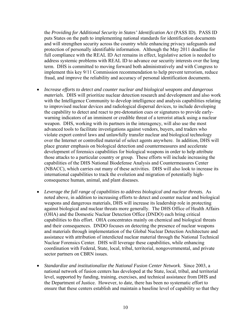the *Providing for Additional Security in States' Identification Act* (PASS ID)*.* PASS ID puts States on the path to implementing national standards for identification documents and will strengthen security across the country while enhancing privacy safeguards and protection of personally identifiable information. Although the May 2011 deadline for full compliance with the REAL ID Act remains in effect, legislative action is needed to address systemic problems with REAL ID to advance our security interests over the long term. DHS is committed to moving forward both administratively and with Congress to implement this key 9/11 Commission recommendation to help prevent terrorism, reduce fraud, and improve the reliability and accuracy of personal identification documents.

- *Increase efforts to detect and counter nuclear and biological weapons and dangerous materials.* DHS will prioritize nuclear detection research and development and also work with the Intelligence Community to develop intelligence and analysis capabilities relating to improvised nuclear devices and radiological dispersal devices, to include developing the capability to detect and react to pre-detonation cues or signatures to provide earlywarning indicators of an imminent or credible threat of a terrorist attack using a nuclear weapon. DHS, working with its partners in the interagency, will also use the most advanced tools to facilitate investigations against vendors, buyers, and traders who violate export control laws and unlawfully transfer nuclear and biological technology over the Internet or controlled material of select agents anywhere. In addition, DHS will place greater emphasis on biological detection and countermeasures and accelerate development of forensics capabilities for biological weapons in order to help attribute those attacks to a particular country or group. These efforts will include increasing the capabilities of the DHS National Biodefense Analysis and Countermeasures Center (NBACC), which carries out many of these activities. DHS will also look to increase its international capabilities to track the evolution and migration of potentially highconsequence human, animal, and plant diseases.
- *Leverage the full range of capabilities to address biological and nuclear threats.* As noted above, in addition to increasing efforts to detect and counter nuclear and biological weapons and dangerous materials, DHS will increase its leadership role in protecting against biological and nuclear threats more generally. The DHS Office of Health Affairs (OHA) and the Domestic Nuclear Detection Office (DNDO) each bring critical capabilities to this effort. OHA concentrates mainly on chemical and biological threats and their consequences. DNDO focuses on detecting the presence of nuclear weapons and materials through implementation of the Global Nuclear Detection Architecture and assistance with attribution of interdicted nuclear material through the National Technical Nuclear Forensics Center. DHS will leverage these capabilities, while enhancing coordination with Federal, State, local, tribal, territorial, nongovernmental, and private sector partners on CBRN issues.
- *Standardize and institutionalize the National Fusion Center Network.* Since 2003, a national network of fusion centers has developed at the State, local, tribal, and territorial level, supported by funding, training, exercises, and technical assistance from DHS and the Department of Justice. However, to date, there has been no systematic effort to ensure that these centers establish and maintain a baseline level of capability so that they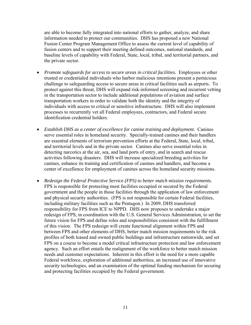are able to become fully integrated into national efforts to gather, analyze, and share information needed to protect our communities. DHS has proposed a new National Fusion Center Program Management Office to assess the current level of capability of fusion centers and to support their meeting defined outcomes, national standards, and baseline levels of capability with Federal, State, local, tribal, and territorial partners, and the private sector.

- *Promote safeguards for access to secure areas in critical facilities.* Employees or other trusted or credentialed individuals who harbor malicious intentions present a pernicious challenge to safeguarding access to secure areas in critical facilities such as airports. To protect against this threat, DHS will expand risk-informed screening and recurrent vetting in the transportation sector to include additional populations of aviation and surface transportation workers in order to validate both the identity and the integrity of individuals with access to critical or sensitive infrastructure. DHS will also implement processes to recurrently vet all Federal employees, contractors, and Federal secure identification credential holders.
- *Establish DHS as a center of excellence for canine training and deployment.* Canines serve essential roles in homeland security. Specially-trained canines and their handlers are essential elements of terrorism prevention efforts at the Federal, State, local, tribal, and territorial levels and in the private sector. Canines also serve essential roles in detecting narcotics at the air, sea, and land ports of entry, and in search and rescue activities following disasters. DHS will increase specialized breeding activities for canines, enhance its training and certification of canines and handlers, and become a center of excellence for employment of canines across the homeland security missions.
- *Redesign the Federal Protective Service (FPS) to better match mission requirements.* FPS is responsible for protecting most facilities occupied or secured by the Federal government and the people in those facilities through the application of law enforcement and physical security authorities. (FPS is not responsible for certain Federal facilities, including military facilities such as the Pentagon.) In 2009, DHS transferred responsibility for FPS from ICE to NPPD. DHS now proposes to undertake a major redesign of FPS, in coordination with the U.S. General Services Administration, to set the future vision for FPS and define roles and responsibilities consistent with the fulfillment of this vision. The FPS redesign will create functional alignment within FPS and between FPS and other elements of DHS, better match mission requirements to the risk profiles of both leased and owned public buildings and infrastructure nationwide, and set FPS on a course to become a model critical infrastructure protection and law enforcement agency. Such an effort entails the realignment of the workforce to better match mission needs and customer expectations. Inherent in this effort is the need for a more capable Federal workforce, exploration of additional authorities, an increased use of innovative security technologies, and an examination of the optimal funding mechanism for securing and protecting facilities occupied by the Federal government.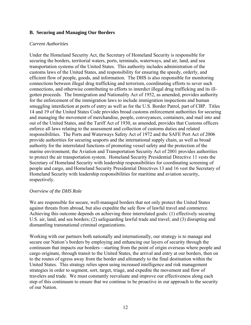## <span id="page-25-0"></span>**B. Securing and Managing Our Borders**

## *Current Authorities*

Under the Homeland Security Act, the Secretary of Homeland Security is responsible for securing the borders, territorial waters, ports, terminals, waterways, and air, land, and sea transportation systems of the United States. This authority includes administration of the customs laws of the United States, and responsibility for ensuring the speedy, orderly, and efficient flow of people, goods, and information. The DHS is also responsible for monitoring connections between illegal drug trafficking and terrorism, coordinating efforts to sever such connections, and otherwise contributing to efforts to interdict illegal drug trafficking and its illgotten proceeds. The Immigration and Nationality Act of 1952, as amended, provides authority for the enforcement of the immigration laws to include immigration inspections and human smuggling interdiction at ports of entry as well as for the U.S. Border Patrol, part of CBP. Titles 14 and 19 of the United States Code provides broad customs enforcement authorities for securing and managing the movement of merchandise, people, conveyances, containers, and mail into and out of the United States, and the Tariff Act of 1930, as amended, provides that Customs officers enforce all laws relating to the assessment and collection of customs duties and related responsibilities. The Ports and Waterways Safety Act of 1972 and the SAFE Port Act of 2006 provide authorities for securing seaports and the international supply chain, as well as broad authority for the interrelated functions of promoting vessel safety and the protection of the marine environment; the Aviation and Transportation Security Act of 2001 provides authorities to protect the air transportation system. Homeland Security Presidential Directive 11 vests the Secretary of Homeland Security with leadership responsibilities for coordinating screening of people and cargo, and Homeland Security Presidential Directives 13 and 16 vest the Secretary of Homeland Security with leadership responsibilities for maritime and aviation security, respectively.

## *Overview of the DHS Role*

We are responsible for secure, well-managed borders that not only protect the United States against threats from abroad, but also expedite the safe flow of lawful travel and commerce. Achieving this outcome depends on achieving three interrelated goals: (1) effectively securing U.S. air, land, and sea borders; (2) safeguarding lawful trade and travel; and (3) disrupting and dismantling transnational criminal organizations.

Working with our partners both nationally and internationally, our strategy is to manage and secure our Nation's borders by employing and enhancing our layers of security through the continuum that impacts our borders—starting from the point of origin overseas where people and cargo originate, through transit to the United States, the arrival and entry at our borders, then on to the routes of egress away from the border and ultimately to the final destination within the United States. This strategy relies upon using increased intelligence and risk management strategies in order to segment, sort, target, triage, and expedite the movement and flow of travelers and trade. We must constantly reevaluate and improve our effectiveness along each step of this continuum to ensure that we continue to be proactive in our approach to the security of our Nation.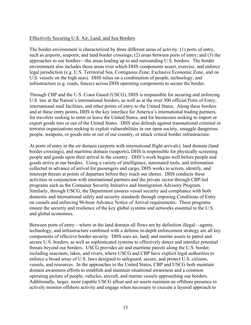## <span id="page-26-0"></span>Effectively Securing U.S. Air, Land, and Sea Borders

The border environment is characterized by three different areas of activity: (1) ports of entry, such as airports, seaports, and land border crossings; (2) areas between ports of entry; and (3) the approaches to our borders—the areas leading up to and surrounding U.S. borders. The border environment also includes those areas over which DHS components assert, exercise, and enforce legal jurisdiction (e.g. U.S. Territorial Sea, Contiguous Zone, Exclusive Economic Zone, and on U.S. vessels on the high seas). DHS relies on a combination of people, technology, and infrastructure (e.g. roads, fences) across DHS operating components to secure the border.

Through CBP and the U.S. Coast Guard (USCG), DHS is responsible for securing and enforcing U.S. law at the Nation's international borders, as well as at the over 300 official Ports of Entry, international mail facilities, and other points of entry to the United States. Along these borders and at these entry points, DHS is the key interface for America's international trading partners, for travelers seeking to enter or leave the United States, and for businesses seeking to import or export goods into or out of the United States. DHS also defends against transnational criminal or terrorist organizations seeking to exploit vulnerabilities in our open society, smuggle dangerous people, weapons, or goods into or out of our country, or attack critical border infrastructure.

At ports of entry in the air domain (airports with international flight arrivals), land domain (land border crossings), and maritime domain (seaports), DHS is responsible for physically screening people and goods upon their arrival to the country. DHS's work begins well before people and goods arrive at our borders. Using a variety of intelligence, automated tools, and information collected in advance of arrival for passengers and cargo, DHS works to screen, identify, and intercept threats at points of departure before they reach our shores. DHS conducts these activities in conjunction with international partners and the private sector through CBP-led programs such as the Container Security Initiative and Immigration Advisory Program. Similarly, through USCG, the Department ensures vessel security and compliance with both domestic and international safety and security standards through imposing Conditions of Entry on vessels and enforcing 96-hour Advance Notice of Arrival requirements. These programs ensure the security and resilience of the key global systems and networks essential to the U.S. and global economies.

Between ports of entry—where in the land domain all flows are by definition illegal—agents, technology, and infrastructure combined with a defense in-depth enforcement strategy are all key components of effective border security. DHS uses air, land, and marine assets to patrol and secure U.S. borders, as well as sophisticated systems to effectively detect and interdict potential threats beyond our borders. USCG provides air and maritime patrols along the U.S. border, including seacoasts, lakes, and rivers, where USCG and CBP have explicit legal authorities to enforce a broad array of U.S. laws designed to safeguard, secure, and protect U.S. citizens, vessels, and resources. In the approaches to the United States, CBP and USCG both maintain domain awareness efforts to establish and maintain situational awareness and a common operating picture of people, vehicles, aircraft, and marine vessels approaching our borders. Additionally, larger, more capable USCG afloat and air assets maintain an offshore presence to actively monitor offshore activity and engage when necessary to execute a layered approach to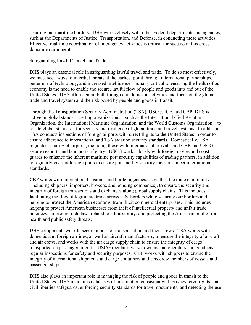<span id="page-27-0"></span>securing our maritime borders. DHS works closely with other Federal departments and agencies, such as the Departments of Justice, Transportation, and Defense, in conducting these activities. Effective, real-time coordination of interagency activities is critical for success in this crossdomain environment.

## Safeguarding Lawful Travel and Trade

DHS plays an essential role in safeguarding lawful travel and trade. To do so most effectively, we must seek ways to interdict threats at the earliest point through international partnerships, better use of technology, and increased intelligence. Equally critical to ensuring the health of our economy is the need to enable the secure, lawful flow of people and goods into and out of the United States. DHS efforts entail both foreign and domestic activities and focus on the global trade and travel system and the risk posed by people and goods in transit.

Through the Transportation Security Administration (TSA), USCG, ICE, and CBP, DHS is active in global standard-setting organizations—such as the International Civil Aviation Organization, the International Maritime Organization, and the World Customs Organization—to create global standards for security and resilience of global trade and travel systems. In addition, TSA conducts inspections of foreign airports with direct flights to the United States in order to ensure adherence to international and TSA aviation security standards. Domestically, TSA regulates security of airports, including those with international arrivals, and CBP and USCG secure seaports and land ports of entry. USCG works closely with foreign navies and coast guards to enhance the inherent maritime port security capabilities of trading partners, in addition to regularly visiting foreign ports to ensure port facility security measures meet international standards.

CBP works with international customs and border agencies, as well as the trade community (including shippers, importers, brokers, and bonding companies), to ensure the security and integrity of foreign transactions and exchanges along global supply chains. This includes facilitating the flow of legitimate trade across U.S. borders while securing our borders and helping to protect the American economy from illicit commercial enterprises. This includes helping to protect American businesses from theft of intellectual property and unfair trade practices, enforcing trade laws related to admissibility, and protecting the American public from health and public safety threats.

DHS components work to secure modes of transportation and their crews. TSA works with domestic and foreign airlines, as well as aircraft manufacturers, to ensure the integrity of aircraft and air crews, and works with the air cargo supply chain to ensure the integrity of cargo transported on passenger aircraft. USCG regulates vessel owners and operators and conducts regular inspections for safety and security purposes. CBP works with shippers to ensure the integrity of international shipments and cargo containers and vets crew members of vessels and passenger ships.

DHS also plays an important role in managing the risk of people and goods in transit to the United States. DHS maintains databases of information consistent with privacy, civil rights, and civil liberties safeguards, enforcing security standards for travel documents, and detecting the use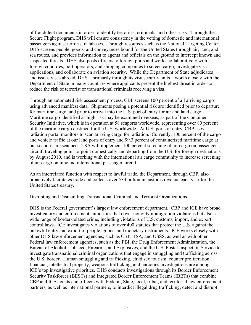<span id="page-28-0"></span>of fraudulent documents in order to identify terrorists, criminals, and other risks. Through the Secure Flight program, DHS will ensure consistency in the vetting of domestic and international passengers against terrorist databases. Through resources such as the National Targeting Center, DHS screens people, goods, and conveyances bound for the United States through air, land, and sea routes, and provides information to agents and officials on the ground to intercept known and suspected threats. DHS also posts officers to foreign ports and works collaboratively with foreign countries, port operators, and shipping companies to screen cargo, investigate visa applications, and collaborate on aviation security. While the Department of State adjudicates and issues visas abroad, DHS—primarily through its visa security units—works closely with the Department of State in many countries where applicants present the highest threat in order to reduce the risk of terrorist or transnational criminals receiving a visa.

Through an automated risk assessment process, CBP screens 100 percent of all arriving cargo using advanced manifest data. Shipments posing a potential risk are identified prior to departure for maritime cargo, and prior to arrival into the U.S. port of entry for air and land cargo. Maritime cargo identified as high risk may be examined overseas, as part of the Container Security Initiative, which is in operation at 58 seaports worldwide, representing over 80 percent of the maritime cargo destined for the U.S. worldwide. At U.S. ports of entry, CBP uses radiation portal monitors to scan arriving cargo for radiation. Currently, 100 percent of the cargo and vehicle traffic at our land ports of entry and 99.3 percent of containerized maritime cargo at our seaports are scanned. TSA will implement 100 percent screening of air cargo on passenger aircraft traveling point-to-point domestically and departing from the U.S. for foreign destinations by August 2010, and is working with the international air cargo community to increase screening of air cargo on inbound international passenger aircraft.

As an interrelated function with respect to lawful trade, the Department, through CBP, also proactively facilitates trade and collects over \$34 billion in customs revenue each year for the United States treasury.

## Disrupting and Dismantling Transnational Criminal and Terrorist Organizations

 ICE's top investigative priorities. DHS conducts investigations through its Border Enforcement DHS is the Federal government's largest law enforcement department. CBP and ICE have broad investigatory and enforcement authorities that cover not only immigration violations but also a wide range of border-related crime, including violations of U.S. customs, import, and export control laws. ICE investigates violations of over 400 statutes that protect the U.S. against the unlawful entry and export of people, goods, and monetary instruments. ICE works closely with other DHS law enforcement agencies, such as CBP, TSA, and USSS, as well as with other Federal law enforcement agencies, such as the FBI, the Drug Enforcement Administration, the Bureau of Alcohol, Tobacco, Firearms, and Explosives, and the U.S. Postal Inspection Service to investigate transnational criminal organizations that engage in smuggling and trafficking across the U.S. border. Human smuggling and trafficking, child sex tourism, counter proliferation, financial, intellectual property, weapons trafficking, and narcotics investigations are among Security Taskforces (BESTs) and Integrated Border Enforcement Teams (IBETs) that combine CBP and ICE agents and officers with Federal, State, local, tribal, and territorial law enforcement partners, as well as international partners, to interdict illegal drug trafficking, detect and disrupt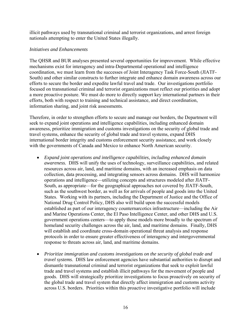<span id="page-29-0"></span>illicit pathways used by transnational criminal and terrorist organizations, and arrest foreign nationals attempting to enter the United States illegally.

## *Initiatives and Enhancements*

The QHSR and BUR analyses presented several opportunities for improvement. While effective mechanisms exist for interagency and intra-Departmental operational and intelligence coordination, we must learn from the successes of Joint Interagency Task Force-South (JIATF-South) and other similar constructs to further integrate and enhance domain awareness across our efforts to secure the border and expedite lawful travel and trade. Our investigations portfolio focused on transnational criminal and terrorist organizations must reflect our priorities and adopt a more proactive posture. We must do more to directly support key international partners in their efforts, both with respect to training and technical assistance, and direct coordination, information sharing, and joint risk assessments.

Therefore, in order to strengthen efforts to secure and manage our borders, the Department will seek to expand joint operations and intelligence capabilities, including enhanced domain awareness, prioritize immigration and customs investigations on the security of global trade and travel systems, enhance the security of global trade and travel systems, expand DHS international border integrity and customs enforcement security assistance, and work closely with the governments of Canada and Mexico to enhance North American security.

- *Expand joint operations and intelligence capabilities, including enhanced domain awareness.* DHS will unify the uses of technology, surveillance capabilities, and related resources across air, land, and maritime domains, with an increased emphasis on data collection, data processing, and integrating sensors across domains. DHS will harmonize operations and intelligence—utilizing concepts and structures modeled after JIATF-South, as appropriate—for the geographical approaches not covered by JIATF-South, such as the southwest border, as well as for arrivals of people and goods into the United States. Working with its partners, including the Department of Justice and the Office of National Drug Control Policy, DHS also will build upon the successful models established as part of our interagency counternarcotics infrastructure—including the Air and Marine Operations Center, the El Paso Intelligence Center, and other DHS and U.S. government operations centers—to apply those models more broadly to the spectrum of homeland security challenges across the air, land, and maritime domains. Finally, DHS will establish and coordinate cross-domain operational threat analysis and response protocols in order to ensure greater effectiveness of interagency and intergovernmental response to threats across air, land, and maritime domains.
- *Prioritize immigration and customs investigations on the security of global trade and travel systems*. DHS law enforcement agencies have substantial authorities to disrupt and dismantle transnational criminal and terrorist organizations that seek to exploit lawful trade and travel systems and establish illicit pathways for the movement of people and goods. DHS will strategically prioritize investigations to focus proactively on security of the global trade and travel system that directly affect immigration and customs activity across U.S. borders. Priorities within this proactive investigative portfolio will include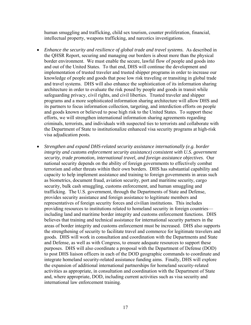human smuggling and trafficking, child sex tourism, counter proliferation, financial, intellectual property, weapons trafficking, and narcotics investigations.

- *Enhance the security and resilience of global trade and travel systems.* As described in the QHSR Report, securing and managing our borders is about more than the physical border environment. We must enable the secure, lawful flow of people and goods into and out of the United States. To that end, DHS will continue the development and implementation of trusted traveler and trusted shipper programs in order to increase our knowledge of people and goods that pose low risk traveling or transiting in global trade and travel systems. DHS will also enhance the sophistication of its information sharing architecture in order to evaluate the risk posed by people and goods in transit while safeguarding privacy, civil rights, and civil liberties. Trusted traveler and shipper programs and a more sophisticated information sharing architecture will allow DHS and its partners to focus information collection, targeting, and interdiction efforts on people and goods known or believed to pose high risk to the United States. To support these efforts, we will strengthen international information sharing agreements regarding criminals, terrorists, and individuals with suspected ties to terrorists and collaborate with the Department of State to institutionalize enhanced visa security programs at high-risk visa adjudication posts.
- *Strengthen and expand DHS-related security assistance internationally (e.g. border integrity and customs enforcement security assistance) consistent with U.S. government security, trade promotion, international travel, and foreign assistance objectives*. Our national security depends on the ability of foreign governments to effectively combat terrorism and other threats within their own borders. DHS has substantial capability and capacity to help implement assistance and training to foreign governments in areas such as biometrics, document fraud, aviation security, port and maritime security, cargo security, bulk cash smuggling, customs enforcement, and human smuggling and trafficking. The U.S. government, through the Departments of State and Defense, provides security assistance and foreign assistance to legitimate members and representatives of foreign security forces and civilian institutions. This includes providing resources to institutions related to homeland security in foreign countries including land and maritime border integrity and customs enforcement functions. DHS believes that training and technical assistance for international security partners in the areas of border integrity and customs enforcement must be increased. DHS also supports the strengthening of security to facilitate travel and commerce for legitimate travelers and goods. DHS will work in consultation and coordination with the Departments and State and Defense, as well as with Congress, to ensure adequate resources to support these purposes. DHS will also coordinate a proposal with the Department of Defense (DOD) to post DHS liaison officers in each of the DOD geographic commands to coordinate and integrate homeland security-related assistance funding aims. Finally, DHS will explore the expansion of additional international partnerships for homeland security-related activities as appropriate, in consultation and coordination with the Department of State and, where appropriate, DOD, including current activities such as visa security and international law enforcement training.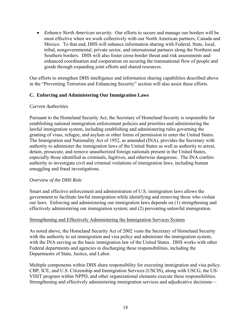<span id="page-31-0"></span> *Enhance North American security*. Our efforts to secure and manage our borders will be most effective when we work collectively with our North American partners, Canada and Mexico. To that end, DHS will enhance information sharing with Federal, State, local, tribal, nongovernmental, private sector, and international partners along the Northern and Southern borders. DHS will also foster cross-border threat and risk assessments and enhanced coordination and cooperation on securing the transnational flow of people and goods through expanding joint efforts and shared resources.

Our efforts to strengthen DHS intelligence and information sharing capabilities described above in the "Preventing Terrorism and Enhancing Security" section will also assist these efforts.

# **C. Enforcing and Administering Our Immigration Laws**

# *Current Authorities*

Pursuant to the Homeland Security Act, the Secretary of Homeland Security is responsible for establishing national immigration enforcement policies and priorities and administering the lawful immigration system, including establishing and administering rules governing the granting of visas, refugee, and asylum or other forms of permission to enter the United States. The Immigration and Nationality Act of 1952, as amended (INA), provides the Secretary with authority to administer the immigration laws of the United States as well as authority to arrest, detain, prosecute, and remove unauthorized foreign nationals present in the United States, especially those identified as criminals, fugitives, and otherwise dangerous. The INA confers authority to investigate civil and criminal violations of immigration laws, including human smuggling and fraud investigations.

# *Overview of the DHS Role*

Smart and effective enforcement and administration of U.S. immigration laws allows the government to facilitate lawful immigration while identifying and removing those who violate our laws. Enforcing and administering our immigration laws depends on (1) strengthening and effectively administering our immigration system; and (2) preventing unlawful immigration.

# Strengthening and Effectively Administering the Immigration Services System

As noted above, the Homeland Security Act of 2002 vests the Secretary of Homeland Security with the authority to set immigration and visa policy and administer the immigration system, with the INA serving as the basic immigration law of the United States. DHS works with other Federal departments and agencies in discharging these responsibilities, including the Departments of State, Justice, and Labor.

Multiple components within DHS share responsibility for executing immigration and visa policy. CBP, ICE, and U.S. Citizenship and Immigration Services (USCIS), along with USCG, the US-VISIT program within NPPD, and other organizational elements execute these responsibilities. Strengthening and effectively administering immigration services and adjudicative decisions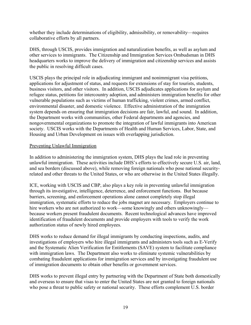<span id="page-32-0"></span>whether they include determinations of eligibility, admissibility, or removability—requires collaborative efforts by all partners.

DHS, through USCIS, provides immigration and naturalization benefits, as well as asylum and other services to immigrants. The Citizenship and Immigration Services Ombudsman in DHS headquarters works to improve the delivery of immigration and citizenship services and assists the public in resolving difficult cases.

USCIS plays the principal role in adjudicating immigrant and nonimmigrant visa petitions, applications for adjustment of status, and requests for extensions of stay for tourists, students, business visitors, and other visitors. In addition, USCIS adjudicates applications for asylum and refugee status, petitions for intercountry adoption, and administers immigration benefits for other vulnerable populations such as victims of human trafficking, violent crimes, armed conflict, environmental disaster, and domestic violence. Effective administration of the immigration system depends on ensuring that immigration decisions are fair, lawful, and sound. In addition, the Department works with communities, other Federal departments and agencies, and nongovernmental organizations to promote the integration of lawful immigrants into American society. USCIS works with the Departments of Health and Human Services, Labor, State, and Housing and Urban Development on issues with overlapping jurisdiction.

## Preventing Unlawful Immigration

In addition to administering the immigration system, DHS plays the lead role in preventing unlawful immigration. These activities include DHS's efforts to effectively secure U.S. air, land, and sea borders (discussed above), while removing foreign nationals who pose national securityrelated and other threats to the United States, or who are otherwise in the United States illegally.

ICE, working with USCIS and CBP, also plays a key role in preventing unlawful immigration through its investigative, intelligence, deterrence, and enforcement functions. But because barriers, screening, and enforcement operations alone cannot completely stop illegal immigration, systematic efforts to reduce the jobs magnet are necessary. Employers continue to hire workers who are not authorized to work—some knowingly and others unknowingly because workers present fraudulent documents. Recent technological advances have improved identification of fraudulent documents and provide employers with tools to verify the work authorization status of newly hired employees.

DHS works to reduce demand for illegal immigrants by conducting inspections, audits, and investigations of employers who hire illegal immigrants and administers tools such as E-Verify and the Systematic Alien Verification for Entitlements (SAVE) system to facilitate compliance with immigration laws. The Department also works to eliminate systemic vulnerabilities by combating fraudulent applications for immigration services and by investigating fraudulent use of immigration documents to obtain other benefits or government services.

DHS works to prevent illegal entry by partnering with the Department of State both domestically and overseas to ensure that visas to enter the United States are not granted to foreign nationals who pose a threat to public safety or national security. These efforts complement U.S. border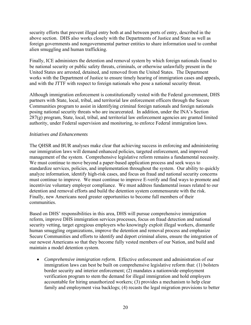<span id="page-33-0"></span>security efforts that prevent illegal entry both at and between ports of entry, described in the above section. DHS also works closely with the Departments of Justice and State as well as foreign governments and nongovernmental partner entities to share information used to combat alien smuggling and human trafficking.

Finally, ICE administers the detention and removal system by which foreign nationals found to be national security or public safety threats, criminals, or otherwise unlawfully present in the United States are arrested, detained, and removed from the United States. The Department works with the Department of Justice to ensure timely hearing of immigration cases and appeals, and with the JTTF with respect to foreign nationals who pose a national security threat.

Although immigration enforcement is constitutionally vested with the Federal government, DHS partners with State, local, tribal, and territorial law enforcement officers through the Secure Communities program to assist in identifying criminal foreign nationals and foreign nationals posing national security threats who are incarcerated. In addition, under the INA's Section 287(g) program, State, local, tribal, and territorial law enforcement agencies are granted limited authority, under Federal supervision and monitoring, to enforce Federal immigration laws.

## *Initiatives and Enhancements*

The QHSR and BUR analyses make clear that achieving success in enforcing and administering our immigration laws will demand enhanced policies, targeted enforcement, and improved management of the system. Comprehensive legislative reform remains a fundamental necessity. We must continue to move beyond a paper-based application process and seek ways to standardize services, policies, and implementation throughout the system. Our ability to quickly analyze information, identify high-risk cases, and focus on fraud and national security concerns must continue to improve. We must continue to improve E-verify and find ways to promote and incentivize voluntary employer compliance. We must address fundamental issues related to our detention and removal efforts and build the detention system commensurate with the risk. Finally, new Americans need greater opportunities to become full members of their communities.

Based on DHS' responsibilities in this area, DHS will pursue comprehensive immigration reform, improve DHS immigration services processes, focus on fraud detection and national security vetting, target egregious employers who knowingly exploit illegal workers, dismantle human smuggling organizations, improve the detention and removal process and emphasize Secure Communities and efforts to identify and deport criminal aliens, ensure the integration of our newest Americans so that they become fully vested members of our Nation, and build and maintain a model detention system.

 *Comprehensive immigration reform.* Effective enforcement and administration of our immigration laws can best be built on comprehensive legislative reform that: (1) bolsters border security and interior enforcement; (2) mandates a nationwide employment verification program to stem the demand for illegal immigration and hold employers accountable for hiring unauthorized workers; (3) provides a mechanism to help clear family and employment visa backlogs; (4) recasts the legal migration provisions to better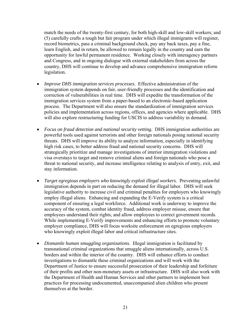match the needs of the twenty-first century, for both high-skill and low-skill workers; and (5) carefully crafts a tough but fair program under which illegal immigrants will register, record biometrics, pass a criminal background check, pay any back taxes, pay a fine, learn English, and in return, be allowed to remain legally in the country and earn the opportunity for lawful permanent residence. Working closely with interagency partners and Congress, and in ongoing dialogue with external stakeholders from across the country, DHS will continue to develop and advance comprehensive immigration reform legislation.

- *Improve DHS immigration services processes*. Effective administration of the immigration system depends on fair, user-friendly processes and the identification and correction of vulnerabilities in real time. DHS will expedite the transformation of the immigration services system from a paper-based to an electronic-based application process. The Department will also ensure the standardization of immigration services policies and implementation across regions, offices, and agencies where applicable. DHS will also explore restructuring funding for USCIS to address variability in demand.
- *Focus on fraud detection and national security vetting.* DHS immigration authorities are powerful tools used against terrorists and other foreign nationals posing national security threats. DHS will improve its ability to analyze information, especially in identifying high risk cases, to better address fraud and national security concerns. DHS will strategically prioritize and manage investigations of interior immigration violations and visa overstays to target and remove criminal aliens and foreign nationals who pose a threat to national security, and increase intelligence relating to analysis of entry, exit, and stay information.
- *Target egregious employers who knowingly exploit illegal workers.* Preventing unlawful immigration depends in part on reducing the demand for illegal labor. DHS will seek legislative authority to increase civil and criminal penalties for employers who knowingly employ illegal aliens. Enhancing and expanding the E-Verify system is a critical component of ensuring a legal workforce. Additional work is underway to improve the accuracy of the system, combat identity fraud, address employer misuse, ensure that employees understand their rights, and allow employees to correct government records. While implementing E-Verify improvements and enhancing efforts to promote voluntary employer compliance, DHS will focus worksite enforcement on egregious employers who knowingly exploit illegal labor and critical infrastructure sites.
- *Dismantle human smuggling organizations.* Illegal immigration is facilitated by transnational criminal organizations that smuggle aliens internationally, across U.S. borders and within the interior of the country. DHS will enhance efforts to conduct investigations to dismantle these criminal organizations and will work with the Department of Justice to ensure successful prosecution of their leadership and forfeiture of their profits and other non-monetary assets or infrastructure. DHS will also work with the Department of Health and Human Services and other partners to implement best practices for processing undocumented, unaccompanied alien children who present themselves at the border.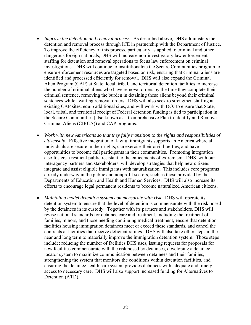- *Improve the detention and removal process.* As described above, DHS administers the detention and removal process through ICE in partnership with the Department of Justice. To improve the efficiency of this process, particularly as applied to criminal and other dangerous foreign nationals, DHS will increase non-investigatory law enforcement staffing for detention and removal operations to focus law enforcement on criminal investigations. DHS will continue to institutionalize the Secure Communities program to ensure enforcement resources are targeted based on risk, ensuring that criminal aliens are identified and processed efficiently for removal. DHS will also expand the Criminal Alien Program (CAP) at State, local, tribal, and territorial detention facilities to increase the number of criminal aliens who have removal orders by the time they complete their criminal sentence, removing the burden in detaining these aliens beyond their criminal sentences while awaiting removal orders. DHS will also seek to strengthen staffing at existing CAP sites, equip additional sites, and will work with DOJ to ensure that State, local, tribal, and territorial receipt of Federal detention funding is tied to participation in the Secure Communities (also known as a Comprehensive Plan to Identify and Remove Criminal Aliens (CIRCA)) and CAP programs.
- *Work with new Americans so that they fully transition to the rights and responsibilities of citizenship.* Effective integration of lawful immigrants supports an America where all individuals are secure in their rights, can exercise their civil liberties, and have opportunities to become full participants in their communities. Promoting integration also fosters a resilient public resistant to the enticements of extremism. DHS, with our interagency partners and stakeholders, will develop strategies that help new citizens integrate and assist eligible immigrants with naturalization. This includes core programs already underway in the public and nonprofit sectors, such as those provided by the Departments of Education and Health and Human Services. DHS will also increase its efforts to encourage legal permanent residents to become naturalized American citizens.
- *Maintain a model detention system commensurate with risk.* DHS will operate its detention system to ensure that the level of detention is commensurate with the risk posed by the detainees in its custody. Together with its partners and stakeholders, DHS will revise national standards for detainee care and treatment, including the treatment of families, minors, and those needing continuing medical treatment, ensure that detention facilities housing immigration detainees meet or exceed these standards, and cancel the contracts at facilities that receive deficient ratings. DHS will also take other steps in the near and long term to materially improve the immigration detention system. Those steps include: reducing the number of facilities DHS uses, issuing requests for proposals for new facilities commensurate with the risk posed by detainees, developing a detainee locator system to maximize communication between detainees and their families, strengthening the system that monitors the conditions within detention facilities, and ensuring the detainee health care system provides detainees with adequate and timely access to necessary care. DHS will also support increased funding for Alternatives to Detention (ATD).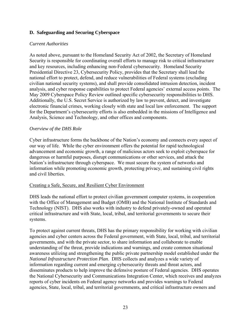# <span id="page-36-0"></span>**D. Safeguarding and Securing Cyberspace**

## *Current Authorities*

As noted above, pursuant to the Homeland Security Act of 2002, the Secretary of Homeland Security is responsible for coordinating overall efforts to manage risk to critical infrastructure and key resources, including enhancing non-Federal cybersecurity. Homeland Security Presidential Directive 23, Cybersecurity Policy, provides that the Secretary shall lead the national effort to protect, defend, and reduce vulnerabilities of Federal systems (excluding civilian national security systems), and shall provide consolidated intrusion detection, incident analysis, and cyber response capabilities to protect Federal agencies' external access points. The May 2009 Cyberspace Policy Review outlined specific cybersecurity responsibilities to DHS. Additionally, the U.S. Secret Service is authorized by law to prevent, detect, and investigate electronic financial crimes, working closely with state and local law enforcement. The support for the Department's cybersecurity efforts is also embedded in the missions of Intelligence and Analysis, Science and Technology, and other offices and components.

## *Overview of the DHS Role*

Cyber infrastructure forms the backbone of the Nation's economy and connects every aspect of our way of life. While the cyber environment offers the potential for rapid technological advancement and economic growth, a range of malicious actors seek to exploit cyberspace for dangerous or harmful purposes, disrupt communications or other services, and attack the Nation's infrastructure through cyberspace. We must secure the system of networks and information while promoting economic growth, protecting privacy, and sustaining civil rights and civil liberties.

# Creating a Safe, Secure, and Resilient Cyber Environment

DHS leads the national effort to protect civilian government computer systems, in cooperation with the Office of Management and Budget (OMB) and the National Institute of Standards and Technology (NIST). DHS also works with industry to defend privately-owned and operated critical infrastructure and with State, local, tribal, and territorial governments to secure their systems.

To protect against current threats, DHS has the primary responsibility for working with civilian agencies and cyber centers across the Federal government, with State, local, tribal, and territorial governments, and with the private sector, to share information and collaborate to enable understanding of the threat, provide indications and warnings, and create common situational awareness utilizing and strengthening the public private partnership model established under the *National Infrastructure Protection Plan*. DHS collects and analyzes a wide variety of information regarding current and emerging cybersecurity threats and threat actors, and disseminates products to help improve the defensive posture of Federal agencies. DHS operates the National Cybersecurity and Communications Integration Center, which receives and analyzes reports of cyber incidents on Federal agency networks and provides warnings to Federal agencies, State, local, tribal, and territorial governments, and critical infrastructure owners and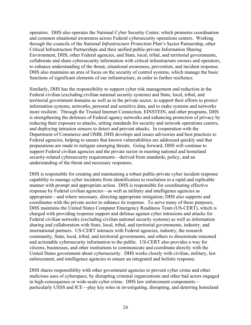operators. DHS also operates the National Cyber Security Center, which promotes coordination and common situational awareness across Federal cybersecurity operations centers. Working through the councils of the *National Infrastructure Protection Plan*'s Sector Partnership, other Critical Infrastructure Partnerships and their unified public-private Information Sharing Environment, DHS, other Federal agencies, and State, local, tribal, and territorial governments, collaborate and share cybersecurity information with critical infrastructure owners and operators, to enhance understanding of the threat, situational awareness, prevention, and incident response. DHS also maintains an area of focus on the security of control systems, which manage the basic functions of significant elements of our infrastructure, in order to further resilience.

Similarly, DHS has the responsibility to support cyber risk management and reduction in the Federal civilian (excluding civilian national security systems) and State, local, tribal, and territorial government domains as well as in the private sector, to support their efforts to protect information systems, networks, personal and sensitive data, and to make systems and networks more resilient. Through the Trusted Internet Connection, EINSTEIN, and other programs, DHS is strengthening the defenses of Federal agency networks and enhancing protection of privacy by reducing their exposure to attacks, setting standards for security and network operations centers, and deploying intrusion sensors to detect and prevent attacks. In cooperation with the Department of Commerce and OMB, DHS develops and issues advisories and best practices to Federal agencies, helping to ensure that known vulnerabilities are addressed quickly and that preparations are made to mitigate emerging threats. Going forward, DHS will continue to support Federal civilian agencies and the private sector in meeting national and homeland security-related cybersecurity requirements—derived from standards, policy, and an understanding of the threat and necessary responses.

DHS is responsible for creating and maintaining a robust public-private cyber incident response capability to manage cyber incidents from identification to resolution in a rapid and replicable manner with prompt and appropriate action. DHS is responsible for coordinating effective response by Federal civilian agencies—as well as military and intelligence agencies as appropriate—and where necessary, directing appropriate mitigation; DHS also supports and coordinates with the private sector to enhance its response. To serve many of these purposes, DHS maintains the United States Computer Emergency Readiness Team (US-CERT), which is charged with providing response support and defense against cyber intrusions and attacks for Federal civilian networks (excluding civilian national security systems) as well as information sharing and collaboration with State, local, tribal, and territorial governments, industry, and international partners. US-CERT interacts with Federal agencies, industry, the research community, State, local, tribal, and territorial governments, and others to disseminate reasoned and actionable cybersecurity information to the public. US-CERT also provides a way for citizens, businesses, and other institutions to communicate and coordinate directly with the United States government about cybersecurity. DHS works closely with civilian, military, law enforcement, and intelligence agencies to ensure an integrated and holistic response.

DHS shares responsibility with other government agencies to prevent cyber crime and other malicious uses of cyberspace, by disrupting criminal organizations and other bad actors engaged in high-consequence or wide-scale cyber crime. DHS law enforcement components particularly USSS and ICE—play key roles in investigating, disrupting, and deterring homeland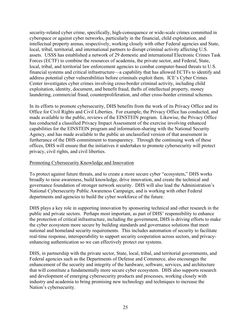<span id="page-38-0"></span>security-related cyber crime, specifically, high-consequence or wide-scale crimes committed in cyberspace or against cyber networks, particularly in the financial, child exploitation, and intellectual property arenas, respectively, working closely with other Federal agencies and State, local, tribal, territorial, and international partners to disrupt criminal activity affecting U.S. assets. USSS has established a network of 29 domestic and international Electronic Crimes Task Forces (ECTF) to combine the resources of academia, the private sector, and Federal, State, local, tribal, and territorial law enforcement agencies to combat computer-based threats to U.S. financial systems and critical infrastructure—a capability that has allowed ECTFs to identify and address potential cyber vulnerabilities before criminals exploit them. ICE's Cyber Crimes Center investigates cyber crimes involving cross-border criminal activity, including child exploitation, identity, document, and benefit fraud, thefts of intellectual property, money laundering, commercial fraud, counterproliferation, and other cross-border criminal schemes.

In its efforts to promote cybersecurity, DHS benefits from the work of its Privacy Office and its Office for Civil Rights and Civil Liberties. For example, the Privacy Office has conducted, and made available to the public, reviews of the EINSTEIN program. Likewise, the Privacy Office has conducted a classified Privacy Impact Assessment of the exercise involving enhanced capabilities for the EINSTEIN program and information-sharing with the National Security Agency, and has made available to the public an unclassified version of that assessment in furtherance of the DHS commitment to transparency. Through the continuing work of these offices, DHS will ensure that the initiatives it undertakes to promote cybersecurity will protect privacy, civil rights, and civil liberties.

## Promoting Cybersecurity Knowledge and Innovation

To protect against future threats, and to create a more secure cyber "ecosystem," DHS works broadly to raise awareness, build knowledge, drive innovation, and create the technical and governance foundation of stronger network security. DHS will also lead the Administration's National Cybersecurity Public Awareness Campaign, and is working with other Federal departments and agencies to build the cyber workforce of the future.

DHS plays a key role in supporting innovation by sponsoring technical and other research in the public and private sectors. Perhaps most important, as part of DHS' responsibility to enhance the protection of critical infrastructure, including the government, DHS is driving efforts to make the cyber ecosystem more secure by building standards and governance solutions that meet national and homeland security requirements. This includes automation of security to facilitate real-time response, interoperability to support security cooperation across sectors, and privacyenhancing authentication so we can effectively protect our systems.

DHS, in partnership with the private sector, State, local, tribal, and territorial governments, and Federal agencies such as the Departments of Defense and Commerce, also encourages the enhancement of the security and integrity of the hardware, software, services, and architecture that will constitute a fundamentally more secure cyber ecosystem. DHS also supports research and development of emerging cybersecurity products and processes, working closely with industry and academia to bring promising new technology and techniques to increase the Nation's cybersecurity.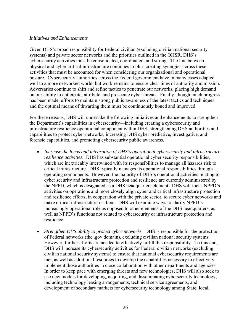## <span id="page-39-0"></span>*Initiatives and Enhancements*

Given DHS's broad responsibility for Federal civilian (excluding civilian national security systems) and private sector networks and the priorities outlined in the QHSR, DHS's cybersecurity activities must be consolidated, coordinated, and strong. The line between physical and cyber critical infrastructure continues to blur, creating synergies across these activities that must be accounted for when considering our organizational and operational posture. Cybersecurity authorities across the Federal government have in many cases adapted well to a more networked world, but work remains to ensure clear lines of authority and mission. Adversaries continue to shift and refine tactics to penetrate our networks, placing high demand on our ability to anticipate, attribute, and prosecute cyber threats. Finally, though much progress has been made, efforts to maintain strong public awareness of the latest tactics and techniques and the optimal means of thwarting them must be continuously honed and improved.

For these reasons, DHS will undertake the following initiatives and enhancements to strengthen the Department's capabilities in cybersecurity—including creating a cybersecurity and infrastructure resilience operational component within DHS, strengthening DHS authorities and capabilities to protect cyber networks, increasing DHS cyber predictive, investigative, and forensic capabilities, and promoting cybersecurity public awareness.

- make critical infrastructure resilient. DHS will examine ways to clarify NPPD's *Increase the focus and integration of DHS's operational cybersecurity and infrastructure resilience activities.* DHS has substantial operational cyber security responsibilities, which are inextricably intertwined with its responsibilities to manage all hazards risk to critical infrastructure. DHS typically manages its operational responsibilities through operating components. However, the majority of DHS's operational activities relating to cyber security and infrastructure protection and resilience are currently administered by the NPPD, which is designated as a DHS headquarters element. DHS will focus NPPD's activities on operations and more closely align cyber and critical infrastructure protection and resilience efforts, in cooperation with the private sector, to secure cyber networks and increasingly operational role as opposed to other elements of the DHS headquarters, as well as NPPD's functions not related to cybersecurity or infrastructure protection and resilience.
- *Strengthen DHS ability to protect cyber networks.* DHS is responsible for the protection of Federal networks (the .gov domain), excluding civilian national security systems. However, further efforts are needed to effectively fulfill this responsibility. To this end, DHS will increase its cybersecurity activities for Federal civilian networks (excluding civilian national security systems) to ensure that national cybersecurity requirements are met, as well as additional resources to develop the capabilities necessary to effectively implement those authorities in close collaboration with other departments and agencies. In order to keep pace with emerging threats and new technologies, DHS will also seek to use new models for developing, acquiring, and disseminating cybersecurity technology, including technology leasing arrangements, technical service agreements, and development of secondary markets for cybersecurity technology among State, local,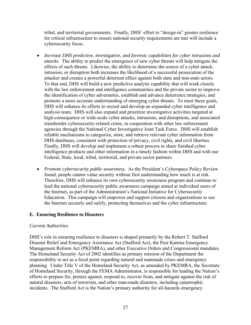<span id="page-40-0"></span>tribal, and territorial governments. Finally, DHS' effort to "design-in" greater resilience for critical infrastructure to ensure national security requirements are met will include a cybersecurity focus.

- *Increase DHS predictive, investigative, and forensic capabilities for cyber intrusions and attacks.* The ability to predict the emergence of new cyber threats will help mitigate the effects of such threats. Likewise, the ability to determine the source of a cyber attack, intrusion, or disruption both increases the likelihood of a successful prosecution of the attacker and creates a powerful deterrent effect against both state and non-state actors. To that end, DHS will build a new predictive analytic capability that will work closely with the law enforcement and intelligence communities and the private sector to improve the identification of cyber adversaries, establish and advance deterrence strategies, and promote a more accurate understanding of emerging cyber threats. To meet these goals, DHS will enhance its efforts to recruit and develop an expanded cyber intelligence and analysis team. DHS will also expand and prioritize investigative activities targeted at high-consequence or wide-scale cyber attacks, intrusions, and disruptions, and associated transborder cybersecurity-related crime, in cooperation with other law enforcement agencies through the National Cyber Investigative Joint Task Force. DHS will establish reliable mechanisms to categorize, store, and retrieve relevant cyber information from DHS databases, consistent with protection of privacy, civil rights, and civil liberties. Finally, DHS will develop and implement a robust process to share finished cyber intelligence products and other information in a timely fashion within DHS and with our Federal, State, local, tribal, territorial, and private sector partners.
- *Promote cybersecurity public awareness.* As the President's Cyberspace Policy Review found, people cannot value security without first understanding how much is at risk. Therefore, DHS will enhance its own cybersecurity awareness program and continue to lead the national cybersecurity public awareness campaign aimed at individual users of the Internet, as part of the Administration's National Initiative for Cybersecurity Education. This campaign will empower and support citizens and organizations to use the Internet securely and safely, protecting themselves and the cyber infrastructure.

# **E. Ensuring Resilience to Disasters**

## *Current Authorities*

DHS's role in ensuring resilience to disasters is shaped primarily by the Robert T. Stafford Disaster Relief and Emergency Assistance Act (Stafford Act), the Post Katrina Emergency Management Reform Act (PKEMRA), and other Executive Orders and Congressional mandates. The Homeland Security Act of 2002 identifies as primary mission of the Department the responsibility to act as a focal point regarding natural and manmade crises and emergency planning. Under Title V of the Homeland Security Act, as amended by PKEMRA, the Secretary of Homeland Security, through the FEMA Administrator, is responsible for leading the Nation's efforts to prepare for, protect against, respond to, recover from, and mitigate against the risk of natural disasters, acts of terrorism, and other man-made disasters, including catastrophic incidents. The Stafford Act is the Nation's primary authority for all-hazards emergency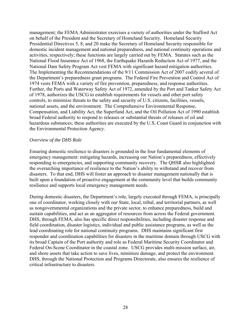<span id="page-41-0"></span>management; the FEMA Administrator exercises a variety of authorities under the Stafford Act on behalf of the President and the Secretary of Homeland Security. Homeland Security Presidential Directives 5, 8, and 20 make the Secretary of Homeland Security responsible for domestic incident management and national preparedness, and national continuity operations and activities, respectively; these functions are largely carried out by FEMA. Statutes such as the National Flood Insurance Act of 1968, the Earthquake Hazards Reduction Act of 1977, and the National Dam Safety Program Act vest FEMA with significant hazard mitigation authorities. The Implementing the Recommendations of the 9/11 Commission Act of 2007 codify several of the Department's preparedness grant programs. The Federal Fire Prevention and Control Act of 1974 vests FEMA with a variety of fire prevention, preparedness, and response authorities. Further, the Ports and Waterway Safety Act of 1972, amended by the Port and Tanker Safety Act of 1978, authorizes the USCG to establish requirements for vessels and other port safety controls, to minimize threats to the safety and security of U.S. citizens, facilities, vessels, national assets, and the environment. The Comprehensive Environmental Response, Compensation, and Liability Act, the Superfund Act, and the Oil Pollution Act of 1990 establish broad Federal authority to respond to releases or substantial threats of releases of oil and hazardous substances; these authorities are executed by the U.S. Coast Guard in conjunction with the Environmental Protection Agency.

#### *Overview of the DHS Role*

Ensuring domestic resilience to disasters is grounded in the four fundamental elements of emergency management: mitigating hazards, increasing our Nation's preparedness, effectively responding to emergencies, and supporting community recovery. The QHSR also highlighted the overarching importance of resilience to the Nation's ability to withstand and recover from disasters. To that end, DHS will foster an approach to disaster management nationally that is built upon a foundation of proactive engagement at the community level that builds community resilience and supports local emergency management needs.

During domestic disasters, the Department's role, largely executed through FEMA, is principally one of coordinator, working closely with our State, local, tribal, and territorial partners, as well as nongovernmental organizations and the private sector, to enhance preparedness, build and sustain capabilities, and act as an aggregator of resources from across the Federal government. DHS, through FEMA, also has specific direct responsibilities, including disaster response and field coordination, disaster logistics, individual and public assistance programs, as well as the lead coordinating role for national continuity programs. DHS maintains significant first responder and coordination capabilities for disasters in the maritime domain through USCG with its broad Captain of the Port authority and role as Federal Maritime Security Coordinator and Federal On-Scene Coordinator in the coastal zone. USCG provides multi-mission surface, air, and shore assets that take action to save lives, minimize damage, and protect the environment. DHS, through the National Protection and Programs Directorate, also ensures the resilience of critical infrastructure to disasters.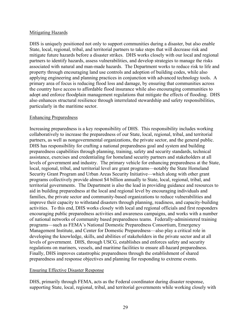## <span id="page-42-0"></span>Mitigating Hazards

DHS is uniquely positioned not only to support communities during a disaster, but also enable State, local, regional, tribal, and territorial partners to take steps that will decrease risk and mitigate future hazards before a disaster strikes. DHS works closely with our local and regional partners to identify hazards, assess vulnerabilities, and develop strategies to manage the risks associated with natural and man-made hazards. The Department works to reduce risk to life and property through encouraging land use controls and adoption of building codes, while also applying engineering and planning practices in conjunction with advanced technology tools. A primary area of focus is reducing flood loss and damage, by ensuring that communities across the country have access to affordable flood insurance while also encouraging communities to adopt and enforce floodplain management regulations that mitigate the effects of flooding. DHS also enhances structural resilience through interrelated stewardship and safety responsibilities, particularly in the maritime sector.

## Enhancing Preparedness

Increasing preparedness is a key responsibility of DHS. This responsibility includes working collaboratively to increase the preparedness of our State, local, regional, tribal, and territorial partners, as well as nongovernmental organizations, the private sector, and the general public. DHS has responsibility for crafting a national preparedness goal and system and building preparedness capabilities through planning, training, safety and security standards, technical assistance, exercises and credentialing for homeland security partners and stakeholders at all levels of government and industry. The primary vehicle for enhancing preparedness at the State, local, regional, tribal, and territorial level are grant programs—notably the State Homeland Security Grant Program and Urban Areas Security Initiative—which along with other grant programs collectively provide almost \$4 billion annually to State, local, regional, tribal, and territorial governments. The Department is also the lead in providing guidance and resources to aid in building preparedness at the local and regional level by encouraging individuals and families, the private sector and community-based organizations to reduce vulnerabilities and improve their capacity to withstand disasters through planning, readiness, and capacity-building activities. To this end, DHS works closely with local and regional officials and first responders encouraging public preparedness activities and awareness campaigns, and works with a number of national networks of community based preparedness teams. Federally-administered training programs—such as FEMA's National Domestic Preparedness Consortium, Emergency Management Institute, and Center for Domestic Preparedness—also play a critical role in developing the knowledge, skills, and abilities of stakeholders in the private sector and at all levels of government. DHS, through USCG, establishes and enforces safety and security regulations on mariners, vessels, and maritime facilities to ensure all-hazard preparedness. Finally, DHS improves catastrophic preparedness through the establishment of shared preparedness and response objectives and planning for responding to extreme events.

# Ensuring Effective Disaster Response

DHS, primarily through FEMA, acts as the Federal coordinator during disaster response, supporting State, local, regional, tribal, and territorial governments while working closely with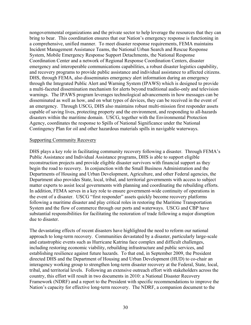<span id="page-43-0"></span>nongovernmental organizations and the private sector to help leverage the resources that they can bring to bear. This coordination ensures that our Nation's emergency response is functioning in a comprehensive, unified manner. To meet disaster response requirements, FEMA maintains Incident Management Assistance Teams, the National Urban Search and Rescue Response System, Mobile Emergency Response Support Detachments, the National Response Coordination Center and a network of Regional Response Coordination Centers, disaster emergency and interoperable communications capabilities, a robust disaster logistics capability, and recovery programs to provide public assistance and individual assistance to affected citizens. DHS, through FEMA, also disseminates emergency alert information during an emergency through the Integrated Public Alert and Warning System (IPAWS) which is designed to provide a multi-faceted dissemination mechanism for alerts beyond traditional audio-only and television warnings. The IPAWS program leverages technological advancements in how messages can be disseminated as well as how, and on what types of devices, they can be received in the event of an emergency. Through USCG, DHS also maintains robust multi-mission first responder assets capable of saving lives, protecting property and the environment, and responding to all-hazards disasters within the maritime domain. USCG, together with the Environmental Protection Agency, coordinates the response to Spills of National Significance under the National Contingency Plan for oil and other hazardous materials spills in navigable waterways.

#### Supporting Community Recovery

DHS plays a key role in facilitating community recovery following a disaster. Through FEMA's Public Assistance and Individual Assistance programs, DHS is able to support eligible reconstruction projects and provide eligible disaster survivors with financial support as they begin the road to recovery. In conjunction with the Small Business Administration and the Departments of Housing and Urban Development, Agriculture, and other Federal agencies, the Department also provides State, local, tribal, and territorial governments with access to subject matter experts to assist local governments with planning and coordinating the rebuilding efforts. In addition, FEMA serves in a key role to ensure government-wide continuity of operations in the event of a disaster. USCG "first responder" assets quickly become recovery platforms following a maritime disaster and play critical roles in restoring the Maritime Transportation System and the flow of commerce through our ports and waterways. USCG and CBP have substantial responsibilities for facilitating the restoration of trade following a major disruption due to disaster.

The devastating effects of recent disasters have highlighted the need to reform our national approach to long-term recovery. Communities devastated by a disaster, particularly large-scale and catastrophic events such as Hurricane Katrina face complex and difficult challenges, including restoring economic viability, rebuilding infrastructure and public services, and establishing resilience against future hazards. To that end, in September 2009, the President directed DHS and the Department of Housing and Urban Development (HUD) to co-chair an interagency working group to strengthen long-term disaster recovery at the Federal, State, local, tribal, and territorial levels. Following an extensive outreach effort with stakeholders across the country, this effort will result in two documents in 2010: a National Disaster Recovery Framework (NDRF) and a report to the President with specific recommendations to improve the Nation's capacity for effective long-term recovery. The NDRF, a companion document to the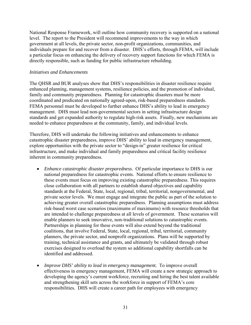<span id="page-44-0"></span>National Response Framework, will outline how community recovery is supported on a national level. The report to the President will recommend improvements to the way in which government at all levels, the private sector, non-profit organizations, communities, and individuals prepare for and recover from a disaster. DHS's efforts, through FEMA, will include a particular focus on enhancing the delivery of recovery support functions for which FEMA is directly responsible, such as funding for public infrastructure rebuilding.

## *Initiatives and Enhancements*

The QHSR and BUR analyses show that DHS's responsibilities in disaster resilience require enhanced planning, management systems, resilience policies, and the promotion of individual, family and community preparedness. Planning for catastrophic disasters must be more coordinated and predicated on nationally agreed-upon, risk-based preparedness standards. FEMA personnel must be developed to further enhance DHS's ability to lead in emergency management. DHS must lead non-governmental sectors in setting infrastructure design standards and get expanded authority to regulate high-risk assets. Finally, new mechanisms are needed to enhance preparedness at the community, family, and individual levels.

Therefore, DHS will undertake the following initiatives and enhancements to enhance catastrophic disaster preparedness, improve DHS' ability to lead in emergency management, explore opportunities with the private sector to "design-in" greater resilience for critical infrastructure, and make individual and family preparedness and critical facility resilience inherent in community preparedness.

- *Enhance catastrophic disaster preparedness.* Of particular importance to DHS is our national preparedness for catastrophic events. National efforts to ensure resilience to these events must focus on improving existing catastrophic preparedness. This requires close collaboration with all partners to establish shared objectives and capability standards at the Federal, State, local, regional, tribal, territorial, nongovernmental, and private sector levels. We must engage and integrate the public as part of the solution to achieving greater overall catastrophic preparedness. Planning assumptions must address risk-based worst case scenarios (maximums of maximums) with resource thresholds that are intended to challenge preparedness at all levels of government. These scenarios will enable planners to seek innovative, non-traditional solutions to catastrophic events. Partnerships in planning for these events will also extend beyond the traditional coalitions, that involve Federal, State, local, regional, tribal, territorial, community planners, the private sector, and nonprofit organizations. Plans will be supported by training, technical assistance and grants, and ultimately be validated through robust exercises designed to overload the system so additional capability shortfalls can be identified and addressed.
- *Improve DHS' ability to lead in emergency management.* To improve overall effectiveness in emergency management, FEMA will create a new strategic approach to developing the agency's current workforce, recruiting and hiring the best talent available and strengthening skill sets across the workforce in support of FEMA's core responsibilities. DHS will create a career path for employees with emergency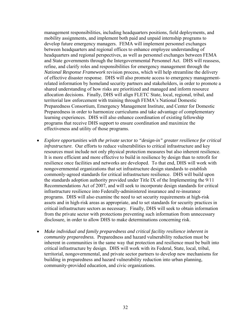management responsibilities, including headquarters positions, field deployments, and mobility assignments, and implement both paid and unpaid internship programs to develop future emergency managers. FEMA will implement personnel exchanges between headquarters and regional offices to enhance employee understanding of headquarters and regional perspectives, as well as personnel exchanges between FEMA and State governments through the Intergovernmental Personnel Act. DHS will reassess, refine, and clarify roles and responsibilities for emergency management through the *National Response Framework* revision process, which will help streamline the delivery of effective disaster response. DHS will also promote access to emergency managementrelated information by homeland security partners and stakeholders, in order to promote a shared understanding of how risks are prioritized and managed and inform resource allocation decisions. Finally, DHS will align FLETC State, local, regional, tribal, and territorial law enforcement with training through FEMA's National Domestic Preparedness Consortium, Emergency Management Institute, and Center for Domestic Preparedness in order to harmonize curriculums and take advantage of complementary learning experiences. DHS will also enhance coordination of existing fellowship programs that receive DHS support to ensure coordination and maximize the effectiveness and utility of those programs.

- *Explore opportunities with the private sector to "design-in" greater resilience for critical infrastructure.* Our efforts to reduce vulnerabilities to critical infrastructure and key resources must include not only physical protection measures but also inherent resilience. It is more efficient and more effective to build in resilience by design than to retrofit for resilience once facilities and networks are developed. To that end, DHS will work with nongovernmental organizations that set infrastructure design standards to establish commonly-agreed standards for critical infrastructure resilience. DHS will build upon the standards adoption authority provided under Title IX of the Implementing the 9/11 Recommendations Act of 2007, and will seek to incorporate design standards for critical infrastructure resilience into Federally-administered insurance and re-insurance programs. DHS will also examine the need to set security requirements at high-risk assets and in high-risk areas as appropriate, and to set standards for security practices in critical infrastructure sectors as necessary. Finally, DHS will seek to obtain information from the private sector with protections preventing such information from unnecessary disclosure, in order to allow DHS to make determinations concerning risk.
- *Make individual and family preparedness and critical facility resilience inherent in community preparedness.* Preparedness and hazard vulnerability reduction must be inherent in communities in the same way that protection and resilience must be built into critical infrastructure by design. DHS will work with its Federal, State, local, tribal, territorial, nongovernmental, and private sector partners to develop new mechanisms for building in preparedness and hazard vulnerability reduction into urban planning, community-provided education, and civic organizations.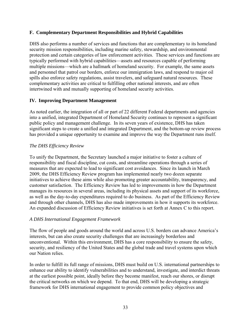# <span id="page-46-0"></span>**F. Complementary Department Responsibilities and Hybrid Capabilities**

DHS also performs a number of services and functions that are complementary to its homeland security mission responsibilities, including marine safety, stewardship, and environmental protection and certain categories of law enforcement activities. These services and functions are typically performed with hybrid capabilities—assets and resources capable of performing multiple missions—which are a hallmark of homeland security. For example, the same assets and personnel that patrol our borders, enforce our immigration laws, and respond to major oil spills also enforce safety regulations, assist travelers, and safeguard natural resources. These complementary activities are critical to fulfilling other national interests, and are often intertwined with and mutually supporting of homeland security activities.

# **IV. Improving Department Management**

As noted earlier, the integration of all or part of 22 different Federal departments and agencies into a unified, integrated Department of Homeland Security continues to represent a significant public policy and management challenge. In its seven years of existence, DHS has taken significant steps to create a unified and integrated Department, and the bottom-up review process has provided a unique opportunity to examine and improve the way the Department runs itself.

## *The DHS Efficiency Review*

To unify the Department, the Secretary launched a major initiative to foster a culture of responsibility and fiscal discipline, cut costs, and streamline operations through a series of measures that are expected to lead to significant cost avoidances. Since its launch in March 2009, the DHS Efficiency Review program has implemented nearly two dozen separate initiatives to achieve these aims while also promoting greater accountability, transparency, and customer satisfaction. The Efficiency Review has led to improvements in how the Department manages its resources in several areas, including its physical assets and support of its workforce, as well as the day-to-day expenditures required to do business. As part of the Efficiency Review and through other channels, DHS has also made improvements in how it supports its workforce. An expanded discussion of Efficiency Review initiatives is set forth at Annex C to this report.

## *A DHS International Engagement Framework*

The flow of people and goods around the world and across U.S. borders can advance America's interests, but can also create security challenges that are increasingly borderless and unconventional. Within this environment, DHS has a core responsibility to ensure the safety, security, and resiliency of the United States and the global trade and travel systems upon which our Nation relies.

In order to fulfill its full range of missions, DHS must build on U.S. international partnerships to enhance our ability to identify vulnerabilities and to understand, investigate, and interdict threats at the earliest possible point, ideally before they become manifest, reach our shores, or disrupt the critical networks on which we depend. To that end, DHS will be developing a strategic framework for DHS international engagement to provide common policy objectives and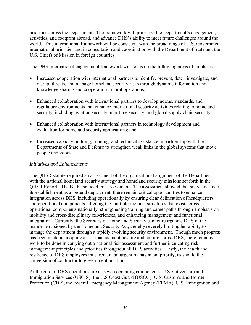<span id="page-47-0"></span>priorities across the Department. The framework will prioritize the Department's engagement, activities, and footprint abroad, and advance DHS's ability to meet future challenges around the world. This international framework will be consistent with the broad range of U.S. Government international priorities and in consultation and coordination with the Department of State and the U.S. Chiefs of Mission in foreign countries.

The DHS international engagement framework will focus on the following areas of emphasis:

- Increased cooperation with international partners to identify, prevent, deter, investigate, and disrupt threats, and manage homeland security risks through dynamic information and knowledge sharing and cooperation in joint operations;
- Enhanced collaboration with international partners to develop norms, standards, and regulatory environments that enhance international security activities relating to homeland security, including aviation security, maritime security, and global supply chain security;
- Enhanced collaboration with international partners in technology development and evaluation for homeland security applications; and
- Increased capacity building, training, and technical assistance in partnership with the Departments of State and Defense to strengthen weak links in the global systems that move people and goods.

# *Initiatives and Enhancements*

The QHSR statute required an assessment of the organizational alignment of the Department with the national homeland security strategy and homeland security missions set forth in the QHSR Report. The BUR included this assessment. The assessment showed that six years since its establishment as a Federal department, there remain critical opportunities to enhance integration across DHS, including operationally by ensuring clear delineation of headquarters and operational components; aligning the multiple regional structures that exist across operational components nationally; strengthening training and career paths through emphasis on mobility and cross-disciplinary experiences; and enhancing management and functional integration. Currently, the Secretary of Homeland Security cannot reorganize DHS in the manner envisioned by the Homeland Security Act, thereby severely limiting her ability to manage the department through a rapidly evolving security environment. Though much progress has been made in adopting a risk management posture and culture across DHS, there remains work to be done in carrying out a national risk assessment and further inculcating risk management principles and priorities throughout all DHS activities. Lastly, the health and resilience of DHS employees must remain an urgent management priority, as should the conversion of contractor to government positions.

At the core of DHS operations are its seven operating components: U.S. Citizenship and Immigration Services (USCIS); the U.S Coast Guard (USCG); U.S. Customs and Border Protection (CBP); the Federal Emergency Management Agency (FEMA); U.S. Immigration and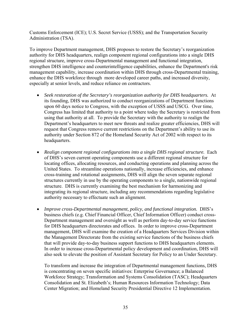Customs Enforcement (ICE); U.S. Secret Service (USSS); and the Transportation Security Administration (TSA).

To improve Department management, DHS proposes to restore the Secretary's reorganization authority for DHS headquarters, realign component regional configurations into a single DHS regional structure, improve cross-Departmental management and functional integration, strengthen DHS intelligence and counterintelligence capabilities, enhance the Department's risk management capability, increase coordination within DHS through cross-Departmental training, enhance the DHS workforce through more developed career paths, and increased diversity, especially at senior levels, and reduce reliance on contractors.

- *Seek restoration of the Secretary's reorganization authority for DHS headquarters.* At its founding, DHS was authorized to conduct reorganizations of Department functions upon 60 days notice to Congress, with the exception of USSS and USCG. Over time, Congress has limited that authority to a point where today the Secretary is restricted from using that authority at all. To provide the Secretary with the authority to realign the Department's headquarters to meet new threats and realize greater efficiencies, DHS will request that Congress remove current restrictions on the Department's ability to use its authority under Section 872 of the Homeland Security Act of 2002 with respect to its headquarters.
- *Realign component regional configurations into a single DHS regional structure.* Each of DHS's seven current operating components use a different regional structure for locating offices, allocating resources, and conducting operations and planning across the United States. To streamline operations nationally, increase efficiencies, and enhance cross-training and rotational assignments, DHS will align the seven separate regional structures currently in use by the operating components to a single, nationwide regional structure. DHS is currently examining the best mechanism for harmonizing and integrating its regional structure, including any recommendations regarding legislative authority necessary to effectuate such an alignment.
- *Improve cross-Departmental management, policy, and functional integration.* DHS's business chiefs (e.g. Chief Financial Officer, Chief Information Officer) conduct cross-Department management and oversight as well as perform day-to-day service functions for DHS headquarters directorates and offices. In order to improve cross-Department management, DHS will examine the creation of a Headquarters Services Division within the Management Directorate from the existing service functions of the business chiefs that will provide day-to-day business support functions to DHS headquarters elements. In order to increase cross-Departmental policy development and coordination, DHS will also seek to elevate the position of Assistant Secretary for Policy to an Under Secretary.

To transform and increase the integration of Departmental management functions, DHS is concentrating on seven specific initiatives: Enterprise Governance; a Balanced Workforce Strategy; Transformation and Systems Consolidation (TASC); Headquarters Consolidation and St. Elizabeth's; Human Resources Information Technology; Data Center Migration; and Homeland Security Presidential Directive 12 Implementation.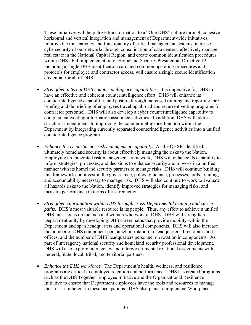These initiatives will help drive transformation to a "One DHS" culture through cohesive horizontal and vertical integration and management of Department-wide initiatives, improve the transparency and functionality of critical management systems, increase cybersecurity of our networks through consolidation of data centers, effectively manage real estate in the National Capital Region, and create common identification procedures within DHS. Full implementation of Homeland Security Presidential Directive 12, including a single DHS identification card and common operating procedures and protocols for employee and contractor access, will ensure a single secure identification credential for all of DHS.

- *Strengthen internal DHS counterintelligence capabilities.* It is imperative for DHS to have an effective and coherent counterintelligence effort. DHS will enhance its counterintelligence capabilities and posture through increased training and reporting, prebriefing and de-briefing of employees traveling abroad and recurrent vetting programs for contractor personnel. DHS will also develop a cyber counterintelligence capability to complement existing information assurance activities. In addition, DHS will address structural impediments to improving the counterintelligence function within the Department by integrating currently separated counterintelligence activities into a unified counterintelligence program.
- *Enhance the Department's risk management capability.* As the QHSR identified, ultimately homeland security is about effectively managing the risks to the Nation. Employing an integrated risk management framework, DHS will enhance its capability to inform strategies, processes, and decisions to enhance security and to work in a unified manner with its homeland security partners to manage risks. DHS will continue building this framework and invest in the governance, policy, guidance, processes, tools, training, and accountability necessary to manage risk. DHS will also continue to work to evaluate all hazards risks to the Nation, identify improved strategies for managing risks, and measure performance in terms of risk reduction.
- *Strengthen coordination within DHS through cross-Departmental training and career paths.* DHS's most valuable resource is its people. Thus, any effort to achieve a unified DHS must focus on the men and women who work at DHS. DHS will strengthen Department unity by developing DHS career paths that provide mobility within the Department and span headquarters and operational components. DHS will also increase the number of DHS component personnel on rotation in headquarters directorates and offices, and the number of DHS headquarters personnel on rotation in components. As part of interagency national security and homeland security professional development, DHS will also explore interagency and intergovernmental rotational assignments with Federal, State, local, tribal, and territorial partners.
- *Enhance the DHS workforce.* The Department's health, wellness, and resilience programs are critical to employee retention and performance. DHS has created programs such as the DHS Together Employee Initiative and the Organizational Resilience Initiative to ensure that Department employees have the tools and resources to manage the stresses inherent in these occupations. DHS also plans to implement Workplace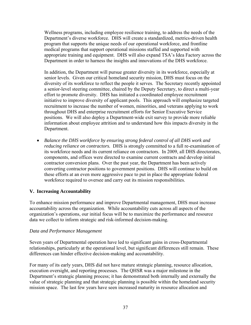<span id="page-50-0"></span>Wellness programs, including employee resilience training, to address the needs of the Department's diverse workforce. DHS will create a standardized, metrics-driven health program that supports the unique needs of our operational workforce, and frontline medical programs that support operational missions staffed and supported with appropriate training and equipment. DHS will also expand TSA's Idea Factory across the Department in order to harness the insights and innovations of the DHS workforce.

In addition, the Department will pursue greater diversity in its workforce, especially at senior levels. Given our critical homeland security mission, DHS must focus on the diversity of its workforce to reflect the people it serves. The Secretary recently appointed a senior-level steering committee, chaired by the Deputy Secretary, to direct a multi-year effort to promote diversity. DHS has initiated a coordinated employee recruitment initiative to improve diversity of applicant pools. This approach will emphasize targeted recruitment to increase the number of women, minorities, and veterans applying to work throughout DHS and enterprise recruitment efforts for Senior Executive Service positions. We will also deploy a Department-wide exit survey to provide more reliable information about employee attrition and to understand how this impacts diversity in the Department.

 *Balance the DHS workforce by ensuring strong federal control of all DHS work and reducing reliance on contractors.* DHS is strongly committed to a full re-examination of its workforce needs and its current reliance on contractors. In 2009, all DHS directorates, components, and offices were directed to examine current contracts and develop initial contractor conversion plans. Over the past year, the Department has been actively converting contractor positions to government positions. DHS will continue to build on these efforts at an even more aggressive pace to put in place the appropriate federal workforce required to oversee and carry out its mission responsibilities.

# **V. Increasing Accountability**

To enhance mission performance and improve Departmental management, DHS must increase accountability across the organization. While accountability cuts across all aspects of the organization's operations, our initial focus will be to maximize the performance and resource data we collect to inform strategic and risk-informed decision-making.

# *Data and Performance Management*

Seven years of Departmental operation have led to significant gains in cross-Departmental relationships, particularly at the operational level, but significant differences still remain. These differences can hinder effective decision-making and accountability.

For many of its early years, DHS did not have mature strategic planning, resource allocation, execution oversight, and reporting processes. The QHSR was a major milestone in the Department's strategic planning process; it has demonstrated both internally and externally the value of strategic planning and that strategic planning is possible within the homeland security mission space. The last few years have seen increased maturity in resource allocation and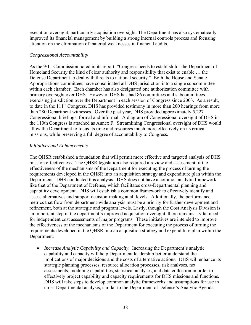<span id="page-51-0"></span>execution oversight, particularly acquisition oversight. The Department has also systematically improved its financial management by building a strong internal controls process and focusing attention on the elimination of material weaknesses in financial audits.

## *Congressional Accountability*

As the 9/11 Commission noted in its report, "Congress needs to establish for the Department of Homeland Security the kind of clear authority and responsibility that exist to enable … the Defense Department to deal with threats to national security." Both the House and Senate Appropriations committees have consolidated all DHS jurisdiction into a single subcommittee within each chamber. Each chamber has also designated one authorization committee with primary oversight over DHS. However, DHS has had 86 committees and subcommittees exercising jurisdiction over the Department in each session of Congress since 2003. As a result, to date in the 111<sup>th</sup> Congress, DHS has provided testimony in more than 200 hearings from more than 280 Department witnesses. Over the past year, DHS provided approximately 5,227 Congressional briefings, formal and informal. A diagram of Congressional oversight of DHS in the 110th Congress is attached as Annex F. Streamlining Congressional oversight of DHS would allow the Department to focus its time and resources much more effectively on its critical missions, while preserving a full degree of accountability to Congress.

## *Initiatives and Enhancements*

The QHSR established a foundation that will permit more effective and targeted analysis of DHS mission effectiveness. The QHSR legislation also required a review and assessment of the effectiveness of the mechanisms of the Department for executing the process of turning the requirements developed in the QHSR into an acquisition strategy and expenditure plan within the Department. DHS conducted this analysis. DHS does not have a common analytic framework like that of the Department of Defense, which facilitates cross-Departmental planning and capability development. DHS will establish a common framework to effectively identify and assess alternatives and support decision-making at all levels. Additionally, the performance metrics that flow from department-wide analysis must be a priority for further development and refinement, both at the strategic and program levels. Lastly, though the Cost Analysis Division is an important step in the department's improved acquisition oversight, there remains a vital need for independent cost assessments of major programs. These initiatives are intended to improve the effectiveness of the mechanisms of the Department for executing the process of turning the requirements developed in the QHSR into an acquisition strategy and expenditure plan within the Department.

 *Increase Analytic Capability and Capacity.* Increasing the Department's analytic capability and capacity will help Department leadership better understand the implications of major decisions and the costs of alternative actions. DHS will enhance its strategic planning processes, resource allocation processes, risk analyses, net assessments, modeling capabilities, statistical analyses, and data collection in order to effectively project capability and capacity requirements for DHS missions and functions. DHS will take steps to develop common analytic frameworks and assumptions for use in cross-Departmental analysis, similar to the Department of Defense's Analytic Agenda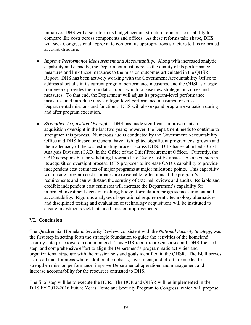<span id="page-52-0"></span>initiative. DHS will also reform its budget account structure to increase its ability to compare like costs across components and offices. As these reforms take shape, DHS will seek Congressional approval to conform its appropriations structure to this reformed account structure.

- *Improve Performance Measurement and Accountability.* Along with increased analytic capability and capacity, the Department must increase the quality of its performance measures and link those measures to the mission outcomes articulated in the QHSR Report. DHS has been actively working with the Government Accountability Office to address shortfalls in its current program performance measures, and the QHSR strategic framework provides the foundation upon which to base new strategic outcomes and measures. To that end, the Department will adjust its program-level performance measures, and introduce new strategic-level performance measures for cross-Departmental missions and functions. DHS will also expand program evaluation during and after program execution.
- *Strengthen Acquisition Oversight.* DHS has made significant improvements in acquisition oversight in the last two years; however, the Department needs to continue to strengthen this process. Numerous audits conducted by the Government Accountability Office and DHS Inspector General have highlighted significant program cost growth and the inadequacy of the cost estimating process across DHS. DHS has established a Cost Analysis Division (CAD) in the Office of the Chief Procurement Officer. Currently, the CAD is responsible for validating Program Life Cycle Cost Estimates. As a next step in its acquisition oversight process, DHS proposes to increase CAD's capability to provide independent cost estimates of major programs at major milestone points. This capability will ensure program cost estimates are reasonable reflections of the program's requirements and can withstand the scrutiny of external reviews and audits. Reliable and credible independent cost estimates will increase the Department's capability for informed investment decision making, budget formulation, progress measurement and accountability. Rigorous analyses of operational requirements, technology alternatives and disciplined testing and evaluation of technology acquisitions will be instituted to ensure investments yield intended mission improvements.

# **VI. Conclusion**

The Quadrennial Homeland Security Review, consistent with the *National Security Strategy*, was the first step in setting forth the strategic foundation to guide the activities of the homeland security enterprise toward a common end. This BUR report represents a second, DHS-focused step, and comprehensive effort to align the Department's programmatic activities and organizational structure with the mission sets and goals identified in the QHSR. The BUR serves as a road map for areas where additional emphasis, investment, and effort are needed to strengthen mission performance, improve Departmental operations and management and increase accountability for the resources entrusted to DHS.

The final step will be to execute the BUR. The BUR and QHSR will be implemented in the DHS FY 2012-2016 Future Years Homeland Security Program to Congress, which will propose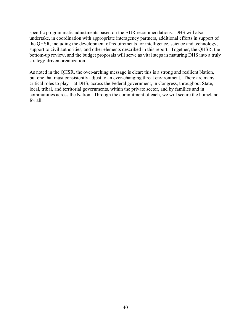specific programmatic adjustments based on the BUR recommendations. DHS will also undertake, in coordination with appropriate interagency partners, additional efforts in support of the QHSR, including the development of requirements for intelligence, science and technology, support to civil authorities, and other elements described in this report. Together, the QHSR, the bottom-up review, and the budget proposals will serve as vital steps in maturing DHS into a truly strategy-driven organization.

As noted in the QHSR, the over-arching message is clear: this is a strong and resilient Nation, but one that must consistently adjust to an ever-changing threat environment. There are many critical roles to play—at DHS, across the Federal government, in Congress, throughout State, local, tribal, and territorial governments, within the private sector, and by families and in communities across the Nation. Through the commitment of each, we will secure the homeland for all.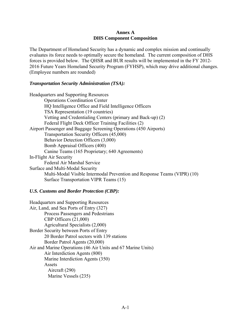## **Annex A DHS Component Composition**

The Department of Homeland Security has a dynamic and complex mission and continually evaluates its force needs to optimally secure the homeland. The current composition of DHS forces is provided below. The QHSR and BUR results will be implemented in the FY 2012 2016 Future Years Homeland Security Program (FYHSP), which may drive additional changes. (Employee numbers are rounded)

# *Transportation Security Administration (TSA):*

| <b>Headquarters and Supporting Resources</b>                             |
|--------------------------------------------------------------------------|
| <b>Operations Coordination Center</b>                                    |
| HQ Intelligence Office and Field Intelligence Officers                   |
| TSA Representation (19 countries)                                        |
| Vetting and Credentialing Centers (primary and Back-up) (2)              |
| Federal Flight Deck Officer Training Facilities (2)                      |
| Airport Passenger and Baggage Screening Operations (450 Airports)        |
| Transportation Security Officers (45,000)                                |
| Behavior Detection Officers (3,000)                                      |
| Bomb Appraisal Officers (400)                                            |
| Canine Teams (165 Proprietary; 640 Agreements)                           |
| In-Flight Air Security                                                   |
| Federal Air Marshal Service                                              |
| Surface and Multi-Modal Security                                         |
| Multi-Modal Visible Intermodal Prevention and Response Teams (VIPR) (10) |
| Surface Transportation VIPR Teams (15)                                   |

# *U.S. Customs and Border Protection (CBP):*

```
Headquarters and Supporting Resources 
Air, Land, and Sea Ports of Entry (327) 
       Process Passengers and Pedestrians 
       CBP Officers (21,000) 
       Agricultural Specialists (2,000) 
Border Security between Ports of Entry 
       20 Border Patrol sectors with 139 stations 
       Border Patrol Agents (20,000) 
Air and Marine Operations (46 Air Units and 67 Marine Units) 
       Air Interdiction Agents (800) 
       Marine Interdiction Agents (350) 
       Assets 
         Aircraft (290) 
         Marine Vessels (235)
```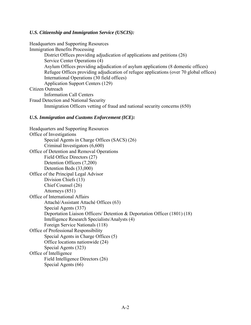## *U.S. Citizenship and Immigration Service (USCIS):*

Headquarters and Supporting Resources Immigration Benefits Processing District Offices providing adjudication of applications and petitions (26) Service Center Operations (4) Asylum Offices providing adjudication of asylum applications (8 domestic offices) Refugee Offices providing adjudication of refugee applications (over 70 global offices) International Operations (30 field offices) Application Support Centers (129) Citizen Outreach Information Call Centers Fraud Detection and National Security Immigration Officers vetting of fraud and national security concerns (650)

## *U.S. Immigration and Customs Enforcement (ICE):*

Headquarters and Supporting Resources Office of Investigations Special Agents in Charge Offices (SACS) (26) Criminal Investigators (6,600) Office of Detention and Removal Operations Field Office Directors (27) Detention Officers (7,200) Detention Beds (33,000) Office of the Principal Legal Advisor Division Chiefs (13) Chief Counsel (26) Attorneys (851) Office of International Affairs Attaché/Assistant Attaché Offices (63) Special Agents (337) Deportation Liaison Officers/ Detention & Deportation Officer (1801) (18) Intelligence Research Specialists/Analysts (4) Foreign Service Nationals (118) Office of Professional Responsibility Special Agents in Charge Offices (5) Office locations nationwide (24) Special Agents (323) Office of Intelligence Field Intelligence Directors (26) Special Agents (66)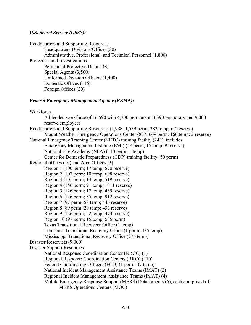## *U.S. Secret Service (USSS):*

| <b>Headquarters and Supporting Resources</b>                  |
|---------------------------------------------------------------|
| Headquarters Divisions/Offices (30)                           |
| Administrative, Professional, and Technical Personnel (1,800) |
| Protection and Investigations                                 |
| Permanent Protective Details (8)                              |
| Special Agents (3,500)                                        |
| Uniformed Division Officers (1,400)                           |
| Domestic Offices (116)                                        |
| Foreign Offices (20)                                          |

## *Federal Emergency Management Agency (FEMA):*

#### **Workforce**

A blended workforce of 16,590 with 4,200 permanent, 3,390 temporary and 9,000 reserve employees Headquarters and Supporting Resources (1,988: 1,539 perm; 382 temp; 67 reserve) Mount Weather Emergency Operations Center (837: 669 perm; 166 temp; 2 reserve) National Emergency Training Center (NETC) training facility (243), includes: Emergency Management Institute (EMI) (58 perm; 15 temp; 9 reserve) National Fire Academy (NFA) (110 perm; 1 temp) Center for Domestic Preparedness (CDP) training facility (50 perm) Regional offices (10) and Area Offices (3) Region 1 (100 perm; 17 temp; 570 reserve) Region 2 (107 perm; 10 temp; 608 reserve) Region 3 (101 perm; 14 temp; 519 reserve) Region 4 (156 perm; 91 temp; 1311 reserve) Region 5 (126 perm; 17 temp; 439 reserve) Region 6 (126 perm; 85 temp; 912 reserve) Region 7 (97 perm; 58 temp; 446 reserve) Region 8 (89 perm; 20 temp; 433 reserve) Region 9 (126 perm; 22 temp; 473 reserve) Region 10 (97 perm; 15 temp; 585 perm) Texas Transitional Recovery Office (1 temp) Louisiana Transitional Recovery Office (1 perm; 485 temp) Mississippi Transitional Recovery Office (276 temp) Disaster Reservists (9,000) Disaster Support Resources National Response Coordination Center (NRCC) (1) Regional Response Coordination Centers (RRCC) (10) Federal Coordinating Officers (FCO) (1 perm; 37 temp) National Incident Management Assistance Teams (IMAT) (2) Regional Incident Management Assistance Teams (IMAT) (4) Mobile Emergency Response Support (MERS) Detachments (6), each comprised of: MERS Operations Centers (MOC)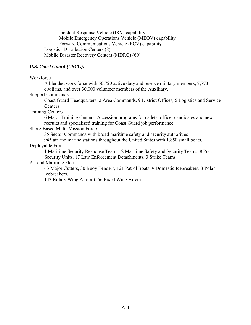Incident Response Vehicle (IRV) capability Mobile Emergency Operations Vehicle (MEOV) capability Forward Communications Vehicle (FCV) capability Logistics Distribution Centers (8) Mobile Disaster Recovery Centers (MDRC) (60)

## *U.S. Coast Guard (USCG):*

#### Workforce

A blended work force with 50,720 active duty and reserve military members, 7,773 civilians, and over 30,000 volunteer members of the Auxiliary.

#### Support Commands

Coast Guard Headquarters, 2 Area Commands, 9 District Offices, 6 Logistics and Service **Centers** 

## Training Centers

6 Major Training Centers: Accession programs for cadets, officer candidates and new recruits and specialized training for Coast Guard job performance.

## Shore-Based Multi-Mission Forces

35 Sector Commands with broad maritime safety and security authorities

945 air and marine stations throughout the United States with 1,850 small boats.

#### Deployable Forces

1 Maritime Security Response Team, 12 Maritime Safety and Security Teams, 8 Port Security Units, 17 Law Enforcement Detachments, 3 Strike Teams

## Air and Maritime Fleet

43 Major Cutters, 30 Buoy Tenders, 121 Patrol Boats, 9 Domestic Icebreakers, 3 Polar Icebreakers.

143 Rotary Wing Aircraft, 56 Fixed Wing Aircraft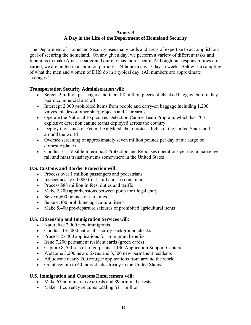# **Annex B A Day in the Life of the Department of Homeland Security**

The Department of Homeland Security uses many tools and areas of expertise to accomplish our goal of securing the homeland. On any given day, we perform a variety of different tasks and functions to make America safer and our citizens more secure. Although our responsibilities are varied, we are united in a common purpose - 24 hours a day, 7 days a week. Below is a sampling of what the men and women of DHS do in a typical day. (All numbers are approximate averages.)

# **Transportation Security Administration will:**

- Screen 2 million passengers and their 1.8 million pieces of checked baggage before they board commercial aircraft
- Intercept 2,000 prohibited items from people and carry-on baggage including 1,200 knives, blades or other sharp objects and 2 firearms
- Operate the National Explosives Detection Canine Team Program, which has 705 explosive detection canine teams deployed across the country
- Deploy thousands of Federal Air Marshals to protect flights in the United States and around the world
- Oversee screening of approximately seven million pounds per day of air cargo on domestic planes
- rail and mass transit systems somewhere in the United States Conduct 4-5 Visible Intermodal Protection and Reponses operations per day in passenger

# **U.S. Customs and Border Protection will:**

- Process over 1 million passengers and pedestrians
- Inspect nearly 60,000 truck, rail and sea containers
- Process \$88 million in fees, duties and tariffs
- Make 2,200 apprehensions between ports for illegal entry
- $\cdot$  Seize 6,600 pounds of narcotics
- Seize 4,300 prohibited agricultural items
- Make 5,400 pre-departure seizures of prohibited agricultural items

# **U.S. Citizenship and Immigration Services will:**

- Naturalize 2,900 new immigrants
- Conduct 135,000 national security background checks
- Process 27,400 applications for immigrant benefits
- Issue 7,200 permanent resident cards (green cards)
- Capture 8,700 sets of fingerprints at 130 Application Support Centers
- Welcome 3,200 new citizens and 3,300 new permanent residents
- Adjudicate nearly 200 refugee applications from around the world
- Grant asylum to 40 individuals already in the United States

# **U.S. Immigration and Customs Enforcement will:**

- Make 63 administrative arrests and 89 criminal arrests
- Make 11 currency seizures totaling \$1.1 million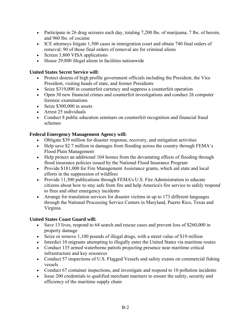- Participate in 26 drug seizures each day, totaling 7,200 lbs. of marijuana, 7 lbs. of heroin, and 960 lbs. of cocaine
- ICE attorneys litigate 1,500 cases in immigration court and obtain 740 final orders of removal; 90 of those final orders of removal are for criminal aliens
- Screen 3,800 VISA applications
- House 29,800 illegal aliens in facilities nationwide

# **United States Secret Service will:**

- Protect dozens of high profile government officials including the President, the Vice President, visiting heads of state, and former Presidents
- Seize \$319,000 in counterfeit currency and suppress a counterfeit operation
- Open 30 new financial crimes and counterfeit investigations and conduct 26 computer forensic examinations
- $\textdegree$  Seize \$300,000 in assets
- Arrest 25 individuals
- Conduct 8 public education seminars on counterfeit recognition and financial fraud schemes

# **Federal Emergency Management Agency will:**

- Obligate \$39 million for disaster response, recovery, and mitigation activities
- Help save \$2.7 million in damages from flooding across the country through FEMA's Flood Plain Management
- flood insurance policies issued by the National Flood Insurance Program Help protect an additional 104 homes from the devastating effects of flooding through
- Provide \$181,000 for Fire Management Assistance grants, which aid state and local efforts in the suppression of wildfires
- Provide 11,300 publications through FEMA's U.S. Fire Administration to educate citizens about how to stay safe from fire and help America's fire service to safely respond to fires and other emergency incidents
- Arrange for translation services for disaster victims in up to 173 different languages through the National Processing Service Centers in Maryland, Puerto Rico, Texas and Virginia

# **United States Coast Guard will:**

- Save 13 lives, respond to 64 search and rescue cases and prevent loss of \$260,000 in property damage
- Seize or remove 1,100 pounds of illegal drugs, with a street value of \$19 million
- Interdict 10 migrants attempting to illegally enter the United States via maritime routes
- Conduct 135 armed waterborne patrols projecting presence near maritime critical infrastructure and key resources
- Conduct 57 inspections of U.S. Flagged Vessels and safety exams on commercial fishing vessels
- Conduct 67 container inspections, and investigate and respond to 10 pollution incidents
- Issue 200 credentials to qualified merchant mariners to ensure the safety, security and efficiency of the maritime supply chain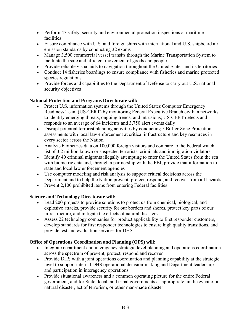- Perform 47 safety, security and environmental protection inspections at maritime facilities
- Ensure compliance with U.S. and foreign ships with international and U.S. shipboard air emission standards by conducting 32 exams
- Manage 3,500 commercial vessel transits through the Marine Transportation System to facilitate the safe and efficient movement of goods and people
- Provide reliable visual aids to navigation throughout the United States and its territories
- Conduct 14 fisheries boardings to ensure compliance with fisheries and marine protected species regulations
- Provide forces and capabilities to the Department of Defense to carry out U.S. national security objectives

# **National Protection and Programs Directorate will:**

- Protect U.S. information systems through the United States Computer Emergency Readiness Team (US-CERT) by monitoring Federal Executive Branch civilian networks to identify emerging threats, ongoing trends, and intrusions; US-CERT detects and responds to an average of 64 incidents and 3,750 alert events daily
- Disrupt potential terrorist planning activities by conducting 5 Buffer Zone Protection assessments with local law enforcement at critical infrastructure and key resources in every sector across the Nation
- Analyze biometrics data on 100,000 foreign visitors and compare to the Federal watch list of 3.2 million known or suspected terrorists, criminals and immigration violators
- Identify 40 criminal migrants illegally attempting to enter the United States from the sea with biometric data and, through a partnership with the FBI, provide that information to state and local law enforcement agencies
- Use computer modeling and risk analysis to support critical decisions across the Department and to help the Nation prevent, protect, respond, and recover from all hazards
- Prevent 2,100 prohibited items from entering Federal facilities

# **Science and Technology Directorate will:**

- Lead 200 projects to provide solutions to protect us from chemical, biological, and explosive attacks, provide security for our borders and shores, protect key parts of our infrastructure, and mitigate the effects of natural disasters.
- Assess 22 technology companies for product applicability to first responder customers, develop standards for first responder technologies to ensure high quality transitions, and provide test and evaluation services for DHS.

# **Office of Operations Coordination and Planning (OPS) will:**

- Integrate department and interagency strategic level planning and operations coordination across the spectrum of prevent, protect, respond and recover
- Provide DHS with a joint operations coordination and planning capability at the strategic level to support internal DHS operational decision-making and Department leadership and participation in interagency operations
- Provide situational awareness and a common operating picture for the entire Federal government, and for State, local, and tribal governments as appropriate, in the event of a natural disaster, act of terrorism, or other man-made disaster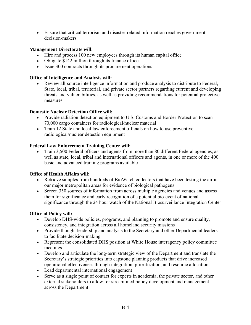Ensure that critical terrorism and disaster-related information reaches government decision-makers

# **Management Directorate will:**

- Hire and process 100 new employees through its human capital office
- Obligate \$142 million through its finance office
- Issue 300 contracts through its procurement operations

# **Office of Intelligence and Analysis will:**

 Review all-source intelligence information and produce analysis to distribute to Federal, State, local, tribal, territorial, and private sector partners regarding current and developing threats and vulnerabilities, as well as providing recommendations for potential protective measures

# **Domestic Nuclear Detection Office will:**

- Provide radiation detection equipment to U.S. Customs and Border Protection to scan 70,000 cargo containers for radiological/nuclear material
- Train 12 State and local law enforcement officials on how to use preventive radiological/nuclear detection equipment

# **Federal Law Enforcement Training Center will:**

 Train 3,500 Federal officers and agents from more than 80 different Federal agencies, as well as state, local, tribal and international officers and agents, in one or more of the 400 basic and advanced training programs available

# **Office of Health Affairs will:**

- Retrieve samples from hundreds of BioWatch collectors that have been testing the air in our major metropolitan areas for evidence of biological pathogens
- Screen 350 sources of information from across multiple agencies and venues and assess them for significance and early recognition of a potential bio-event of national significance through the 24 hour watch of the National Biosurveillance Integration Center

# **Office of Policy will:**

- Develop DHS-wide policies, programs, and planning to promote and ensure quality, consistency, and integration across all homeland security missions
- Provide thought leadership and analysis to the Secretary and other Departmental leaders to facilitate decision-making
- Represent the consolidated DHS position at White House interagency policy committee meetings
- Develop and articulate the long-term strategic view of the Department and translate the Secretary's strategic priorities into capstone planning products that drive increased operational effectiveness through integration, prioritization, and resource allocation
- Lead departmental international engagement
- Serve as a single point of contact for experts in academia, the private sector, and other external stakeholders to allow for streamlined policy development and management across the Department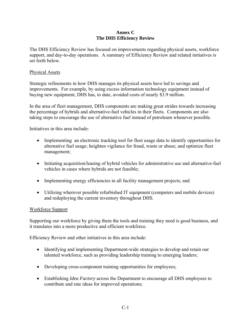## **Annex C The DHS Efficiency Review**

The DHS Efficiency Review has focused on improvements regarding physical assets, workforce support, and day-to-day operations. A summary of Efficiency Review and related initiatives is set forth below.

## Physical Assets

Strategic refinements in how DHS manages its physical assets have led to savings and improvements. For example, by using excess information technology equipment instead of buying new equipment, DHS has, to date, avoided costs of nearly \$3.9 million.

In the area of fleet management, DHS components are making great strides towards increasing the percentage of hybrids and alternative-fuel vehicles in their fleets. Components are also taking steps to encourage the use of alternative fuel instead of petroleum whenever possible.

Initiatives in this area include:

- Implementing an electronic tracking tool for fleet usage data to identify opportunities for alternative fuel usage; heighten vigilance for fraud, waste or abuse; and optimize fleet management;
- Initiating acquisition/leasing of hybrid vehicles for administrative use and alternative-fuel vehicles in cases where hybrids are not feasible;
- Implementing energy efficiencies in all facility management projects; and
- Utilizing wherever possible refurbished IT equipment (computers and mobile devices) and redeploying the current inventory throughout DHS.

# Workforce Support

Supporting our workforce by giving them the tools and training they need is good business, and it translates into a more productive and efficient workforce.

Efficiency Review and other initiatives in this area include:

- Identifying and implementing Department-wide strategies to develop and retain our talented workforce, such as providing leadership training to emerging leaders;
- Developing cross-component training opportunities for employees;
- Establishing *Idea Factory* across the Department to encourage all DHS employees to contribute and rate ideas for improved operations;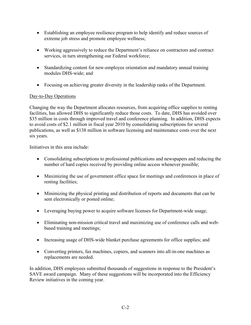- Establishing an employee resilience program to help identify and reduce sources of extreme job stress and promote employee wellness;
- Working aggressively to reduce the Department's reliance on contractors and contract services, in turn strengthening our Federal workforce;
- Standardizing content for new-employee orientation and mandatory annual training modules DHS-wide; and
- Focusing on achieving greater diversity in the leadership ranks of the Department.

# Day-to-Day Operations

Changing the way the Department allocates resources, from acquiring office supplies to renting facilities, has allowed DHS to significantly reduce those costs. To date, DHS has avoided over \$35 million in costs through improved travel and conference planning. In addition, DHS expects to avoid costs of \$2.1 million in fiscal year 2010 by consolidating subscriptions for several publications, as well as \$138 million in software licensing and maintenance costs over the next six years.

Initiatives in this area include:

- Consolidating subscriptions to professional publications and newspapers and reducing the number of hard copies received by providing online access whenever possible;
- Maximizing the use of government office space for meetings and conferences in place of renting facilities;
- Minimizing the physical printing and distribution of reports and documents that can be sent electronically or posted online;
- Leveraging buying power to acquire software licenses for Department-wide usage;
- Eliminating non-mission critical travel and maximizing use of conference calls and webbased training and meetings;
- Increasing usage of DHS-wide blanket purchase agreements for office supplies; and
- Converting printers, fax machines, copiers, and scanners into all-in-one machines as replacements are needed.

In addition, DHS employees submitted thousands of suggestions in response to the President's SAVE award campaign. Many of these suggestions will be incorporated into the Efficiency Review initiatives in the coming year.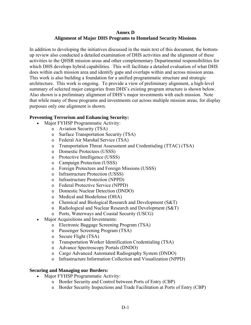## **Annex D Alignment of Major DHS Programs to Homeland Security Missions**

In addition to developing the initiatives discussed in the main text of this document, the bottomup review also conducted a detailed examination of DHS activities and the alignment of these activities to the QHSR mission areas and other complementary Departmental responsibilities for which DHS develops hybrid capabilities. This will facilitate a detailed evaluation of what DHS does within each mission area and identify gaps and overlaps within and across mission areas. This work is also building a foundation for a unified programmatic structure and strategic architecture. This work is ongoing. To provide a view of preliminary alignment, a high-level summary of selected major categories from DHS's existing program structure is shown below. Also shown is a preliminary alignment of DHS's major investments with each mission. Note that while many of these programs and investments cut across multiple mission areas, for display purposes only one alignment is shown.

# **Preventing Terrorism and Enhancing Security:**

- Major FYHSP Programmatic Activity:
	- o Aviation Security (TSA)
	- o Surface Transportation Security (TSA)
	- o Federal Air Marshal Service (TSA)
	- o Transportation Threat Assessment and Credentialing (TTAC) (TSA)
	- o Domestic Protectees (USSS)
	- o Protective Intelligence (USSS)
	- o Campaign Protection (USSS)
	- o Foreign Protectees and Foreign Missions (USSS)
	- o Infrastructure Protection (USSS)
	- o Infrastructure Protection (NPPD)
	- o Federal Protective Service (NPPD)
	- o Domestic Nuclear Detection (DNDO)
	- o Medical and Biodefense (OHA)
	- o Chemical and Biological Research and Development (S&T)
	- o Radiological and Nuclear Research and Development (S&T)
	- o Ports, Waterways and Coastal Security (USCG)
- Major Acquisitions and Investments:
	- o Electronic Baggage Screening Program (TSA)
	- o Passenger Screening Program (TSA)
	- o Secure Flight (TSA)
	- o Transportation Worker Identification Credentialing (TSA)
	- o Advance Spectroscopy Portals (DNDO)
	- o Cargo Advanced Automated Radiography System (DNDO)
	- o Infrastructure Information Collection and Visualization (NPPD)

# **Securing and Managing our Borders:**

- Major FYHSP Programmatic Activity:
	- o Border Security and Control between Ports of Entry (CBP)
	- o Border Security Inspections and Trade Facilitation at Ports of Entry (CBP)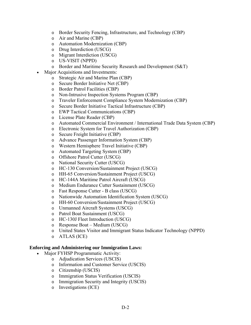- o Border Security Fencing, Infrastructure, and Technology (CBP)
- o Air and Marine (CBP)
- o Automation Modernization (CBP)
- o Drug Interdiction (USCG)
- o Migrant Interdiction (USCG)
- o US-VISIT (NPPD)
- o Border and Maritime Security Research and Development (S&T)
- Major Acquisitions and Investments:
	- o Strategic Air and Marine Plan (CBP)
	- o Secure Border Initiative Net (CBP)
	- o Border Patrol Facilities (CBP)
	- o Non-Intrusive Inspection Systems Program (CBP)
	- o Traveler Enforcement Compliance System Modernization (CBP)
	- o Secure Border Initiative Tactical Infrastructure (CBP)
	- o EWP Tactical Communications (CBP)
	- o License Plate Reader (CBP)
	- o Automated Commercial Environment / International Trade Data System (CBP)
	- o Electronic System for Travel Authorization (CBP)
	- o Secure Freight Initiative (CBP)
	- o Advance Passenger Information System (CBP)
	- o Western Hemisphere Travel Initiative (CBP)
	- o Automated Targeting System (CBP)
	- o Offshore Patrol Cutter (USCG)
	- o National Security Cutter (USCG)
	- o HC-130 Conversion/Sustainment Project (USCG)
	- o HH-65 Conversion/Sustainment Project (USCG)
	- o HC-144A Maritime Patrol Aircraft (USCG)
	- o Medium Endurance Cutter Sustainment (USCG)
	- o Fast Response Cutter B class (USCG)
	- o Nationwide Automation Identification System (USCG)
	- o HH-60 Conversion/Sustainment Project (USCG)
	- o Unmanned Aircraft Systems (USCG)
	- o Patrol Boat Sustainment (USCG)
	- o HC-130J Fleet Introduction (USCG)
	- o Response Boat Medium (USCG)
	- o United States Visitor and Immigrant Status Indicator Technology (NPPD)
	- o ATLAS (ICE)

## **Enforcing and Administering our Immigration Laws:**

- Major FYHSP Programmatic Activity:
	- o Adjudication Services (USCIS)
	- o Information and Customer Service (USCIS)
	- o Citizenship (USCIS)
	- o Immigration Status Verification (USCIS)
	- o Immigration Security and Integrity (USCIS)
	- o Investigations (ICE)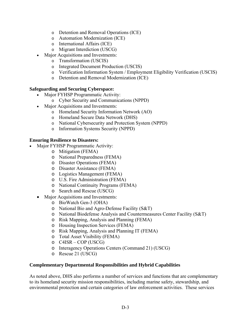- o Detention and Removal Operations (ICE)
- o Automation Modernization (ICE)
- o International Affairs (ICE)
- o Migrant Interdiction (USCG)
- Major Acquisitions and Investments:
	- o Transformation (USCIS)
	- o Integrated Document Production (USCIS)
	- o Verification Information System / Employment Eligibility Verification (USCIS)
	- o Detention and Removal Modernization (ICE)

# **Safeguarding and Securing Cyberspace:**

- Major FYHSP Programmatic Activity:
	- o Cyber Security and Communications (NPPD)
- Major Acquisitions and Investments:
	- o Homeland Security Information Network (AO)
	- o Homeland Secure Data Network (DHS)
	- o National Cybersecurity and Protection System (NPPD)
	- o Information Systems Security (NPPD)

# **Ensuring Resilience to Disasters:**

- Major FYHSP Programmatic Activity:
	- o Mitigation (FEMA)
	- o National Preparedness (FEMA)
	- o Disaster Operations (FEMA)
	- o Disaster Assistance (FEMA)
	- o Logistics Management (FEMA)
	- o U.S. Fire Administration (FEMA)
	- o National Continuity Programs (FEMA)
	- o Search and Rescue (USCG)
	- Major Acquisitions and Investments:
		- o BioWatch Gen-3 (OHA)
		- o National Bio and Agro-Defense Facility (S&T)
		- o National Biodefense Analysis and Countermeasures Center Facility (S&T)
		- o Risk Mapping, Analysis and Planning (FEMA)
		- o Housing Inspection Services (FEMA)
		- o Risk Mapping, Analysis and Planning IT (FEMA)
		- o Total Asset Visibility (FEMA)
		- o C4ISR COP (USCG)
		- o Interagency Operations Centers (Command 21) (USCG)
		- o Rescue 21 (USCG)

# **Complementary Departmental Responsibilities and Hybrid Capabilities**

As noted above, DHS also performs a number of services and functions that are complementary to its homeland security mission responsibilities, including marine safety, stewardship, and environmental protection and certain categories of law enforcement activities. These services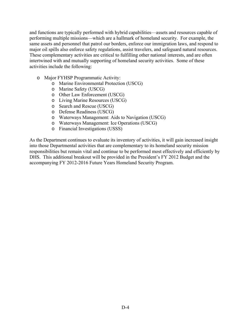and functions are typically performed with hybrid capabilities—assets and resources capable of performing multiple missions—which are a hallmark of homeland security. For example, the same assets and personnel that patrol our borders, enforce our immigration laws, and respond to major oil spills also enforce safety regulations, assist travelers, and safeguard natural resources. These complementary activities are critical to fulfilling other national interests, and are often intertwined with and mutually supporting of homeland security activities. Some of these activities include the following:

- o Major FYHSP Programmatic Activity:
	- o Marine Environmental Protection (USCG)
	- o Marine Safety (USCG)
	- o Other Law Enforcement (USCG)
	- o Living Marine Resources (USCG)
	- o Search and Rescue (USCG)
	- o Defense Readiness (USCG)
	- o Waterways Management: Aids to Navigation (USCG)
	- o Waterways Management: Ice Operations (USCG)
	- o Financial Investigations (USSS)

As the Department continues to evaluate its inventory of activities, it will gain increased insight into those Departmental activities that are complementary to its homeland security mission responsibilities but remain vital and continue to be performed most effectively and efficiently by DHS. This additional breakout will be provided in the President's FY 2012 Budget and the accompanying FY 2012-2016 Future Years Homeland Security Program.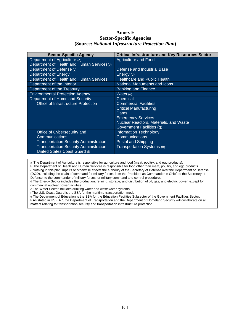| <b>Annex E</b>                                    |
|---------------------------------------------------|
| <b>Sector-Specific Agencies</b>                   |
| (Source: National Infrastructure Protection Plan) |

| <b>Sector-Specific Agency</b>                 | <b>Critical Infrastructure and Key Resources Sector</b> |
|-----------------------------------------------|---------------------------------------------------------|
| Department of Agriculture (a)                 | <b>Agriculture and Food</b>                             |
| Department of Health and Human Services(b)    |                                                         |
| Department of Defense (c)                     | Defense and Industrial Base                             |
| <b>Department of Energy</b>                   | Energy (d)                                              |
| Department of Health and Human Services       | <b>Healthcare and Public Health</b>                     |
| Department of the Interior                    | <b>National Monuments and Icons</b>                     |
| Department of the Treasury                    | <b>Banking and Finance</b>                              |
| <b>Environmental Protection Agency</b>        | Water $(e)$                                             |
| Department of Homeland Security               | Chemical                                                |
| <b>Office of Infrastructure Protection</b>    | <b>Commercial Facilities</b>                            |
|                                               | <b>Critical Manufacturing</b>                           |
|                                               | Dams                                                    |
|                                               | <b>Emergency Services</b>                               |
|                                               | <b>Nuclear Reactors, Materials, and Waste</b>           |
|                                               | Government Facilities (g)                               |
| Office of Cybersecurity and                   | <b>Information Technology</b>                           |
| Communications                                | Communications                                          |
| <b>Transportation Security Administration</b> | Postal and Shipping                                     |
| <b>Transportation Security Administration</b> | Transportation Systems (h)                              |
| United States Coast Guard (f)                 |                                                         |

a The Department of Agriculture is responsible for agriculture and food (meat, poultry, and egg products).

 b The Department of Health and Human Services is responsible for food other than meat, poultry, and egg products. c Nothing in this plan impairs or otherwise affects the authority of the Secretary of Defense over the Department of Defense (DOD), including the chain of command for military forces from the President as Commander in Chief, to the Secretary of Defense, to the commander of military forces, or military command and control procedures.

d The Energy Sector includes the production, refining, storage, and distribution of oil, gas, and electric power, except for commercial nuclear power facilities.

e The Water Sector includes drinking water and wastewater systems.

f The U.S. Coast Guard is the SSA for the maritime transportation mode.

g The Department of Education is the SSA for the Education Facilities Subsector of the Government Facilities Sector.

h As stated in HSPD-7, the Department of Transportation and the Department of Homeland Security will collaborate on all matters relating to transportation security and transportation infrastructure protection.